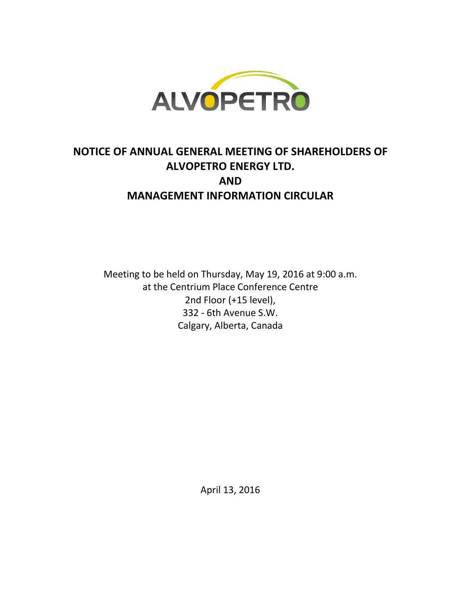

# **NOTICE OF ANNUAL GENERAL MEETING OF SHAREHOLDERS OF ALVOPETRO ENERGY LTD. AND MANAGEMENT INFORMATION CIRCULAR**

Meeting to be held on Thursday, May 19, 2016 at 9:00 a.m. at the Centrium Place Conference Centre 2nd Floor (+15 level), 332 - 6th Avenue S.W. Calgary, Alberta, Canada

April 13, 2016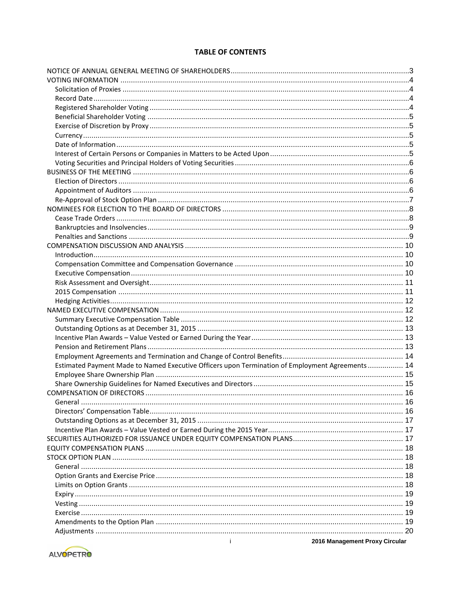# **TABLE OF CONTENTS**

| Estimated Payment Made to Named Executive Officers upon Termination of Employment Agreements  14 |  |
|--------------------------------------------------------------------------------------------------|--|
|                                                                                                  |  |
|                                                                                                  |  |
|                                                                                                  |  |
|                                                                                                  |  |
|                                                                                                  |  |
|                                                                                                  |  |
|                                                                                                  |  |
|                                                                                                  |  |
|                                                                                                  |  |
|                                                                                                  |  |
|                                                                                                  |  |
|                                                                                                  |  |
|                                                                                                  |  |
|                                                                                                  |  |
|                                                                                                  |  |
|                                                                                                  |  |
|                                                                                                  |  |
|                                                                                                  |  |
| $\mathbf{i}$<br>2016 Management Proxy Circular                                                   |  |

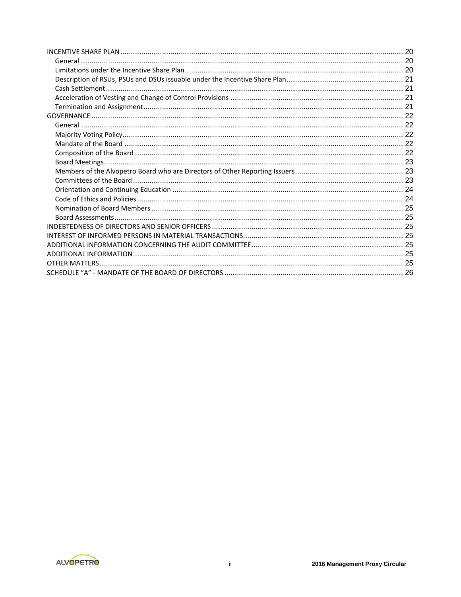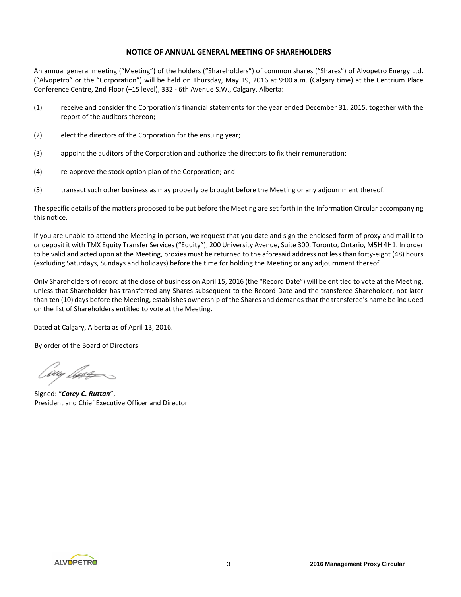# **NOTICE OF ANNUAL GENERAL MEETING OF SHAREHOLDERS**

An annual general meeting ("Meeting") of the holders ("Shareholders") of common shares ("Shares") of Alvopetro Energy Ltd. ("Alvopetro" or the "Corporation") will be held on Thursday, May 19, 2016 at 9:00 a.m. (Calgary time) at the Centrium Place Conference Centre, 2nd Floor (+15 level), 332 - 6th Avenue S.W., Calgary, Alberta:

- (1) receive and consider the Corporation's financial statements for the year ended December 31, 2015, together with the report of the auditors thereon;
- (2) elect the directors of the Corporation for the ensuing year;
- (3) appoint the auditors of the Corporation and authorize the directors to fix their remuneration;
- (4) re-approve the stock option plan of the Corporation; and
- (5) transact such other business as may properly be brought before the Meeting or any adjournment thereof.

The specific details of the matters proposed to be put before the Meeting are set forth in the Information Circular accompanying this notice.

If you are unable to attend the Meeting in person, we request that you date and sign the enclosed form of proxy and mail it to or deposit it with TMX Equity Transfer Services ("Equity"), 200 University Avenue, Suite 300, Toronto, Ontario, M5H 4H1. In order to be valid and acted upon at the Meeting, proxies must be returned to the aforesaid address not less than forty-eight (48) hours (excluding Saturdays, Sundays and holidays) before the time for holding the Meeting or any adjournment thereof.

Only Shareholders of record at the close of business on April 15, 2016 (the "Record Date") will be entitled to vote at the Meeting, unless that Shareholder has transferred any Shares subsequent to the Record Date and the transferee Shareholder, not later than ten (10) days before the Meeting, establishes ownership of the Shares and demands that the transferee's name be included on the list of Shareholders entitled to vote at the Meeting.

Dated at Calgary, Alberta as of April 13, 2016.

By order of the Board of Directors

'wy lap

Signed: "*Corey C. Ruttan*", President and Chief Executive Officer and Director

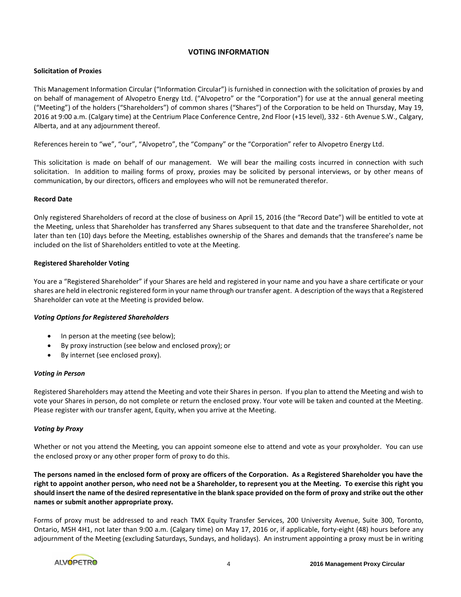# **VOTING INFORMATION**

# **Solicitation of Proxies**

This Management Information Circular ("Information Circular") is furnished in connection with the solicitation of proxies by and on behalf of management of Alvopetro Energy Ltd. ("Alvopetro" or the "Corporation") for use at the annual general meeting ("Meeting") of the holders ("Shareholders") of common shares ("Shares") of the Corporation to be held on Thursday, May 19, 2016 at 9:00 a.m. (Calgary time) at the Centrium Place Conference Centre, 2nd Floor (+15 level), 332 - 6th Avenue S.W., Calgary, Alberta, and at any adjournment thereof.

References herein to "we", "our", "Alvopetro", the "Company" or the "Corporation" refer to Alvopetro Energy Ltd.

This solicitation is made on behalf of our management. We will bear the mailing costs incurred in connection with such solicitation. In addition to mailing forms of proxy, proxies may be solicited by personal interviews, or by other means of communication, by our directors, officers and employees who will not be remunerated therefor.

# **Record Date**

Only registered Shareholders of record at the close of business on April 15, 2016 (the "Record Date") will be entitled to vote at the Meeting, unless that Shareholder has transferred any Shares subsequent to that date and the transferee Shareholder, not later than ten (10) days before the Meeting, establishes ownership of the Shares and demands that the transferee's name be included on the list of Shareholders entitled to vote at the Meeting.

# **Registered Shareholder Voting**

You are a "Registered Shareholder" if your Shares are held and registered in your name and you have a share certificate or your shares are held in electronic registered form in your name through our transfer agent. A description of the ways that a Registered Shareholder can vote at the Meeting is provided below.

#### *Voting Options for Registered Shareholders*

- In person at the meeting (see below);
- By proxy instruction (see below and enclosed proxy); or
- By internet (see enclosed proxy).

#### *Voting in Person*

Registered Shareholders may attend the Meeting and vote their Shares in person. If you plan to attend the Meeting and wish to vote your Shares in person, do not complete or return the enclosed proxy. Your vote will be taken and counted at the Meeting. Please register with our transfer agent, Equity, when you arrive at the Meeting.

#### *Voting by Proxy*

Whether or not you attend the Meeting, you can appoint someone else to attend and vote as your proxyholder. You can use the enclosed proxy or any other proper form of proxy to do this.

**The persons named in the enclosed form of proxy are officers of the Corporation. As a Registered Shareholder you have the right to appoint another person, who need not be a Shareholder, to represent you at the Meeting. To exercise this right you should insert the name of the desired representative in the blank space provided on the form of proxy and strike out the other names or submit another appropriate proxy.**

Forms of proxy must be addressed to and reach TMX Equity Transfer Services, 200 University Avenue, Suite 300, Toronto, Ontario, M5H 4H1, not later than 9:00 a.m. (Calgary time) on May 17, 2016 or, if applicable, forty-eight (48) hours before any adjournment of the Meeting (excluding Saturdays, Sundays, and holidays). An instrument appointing a proxy must be in writing

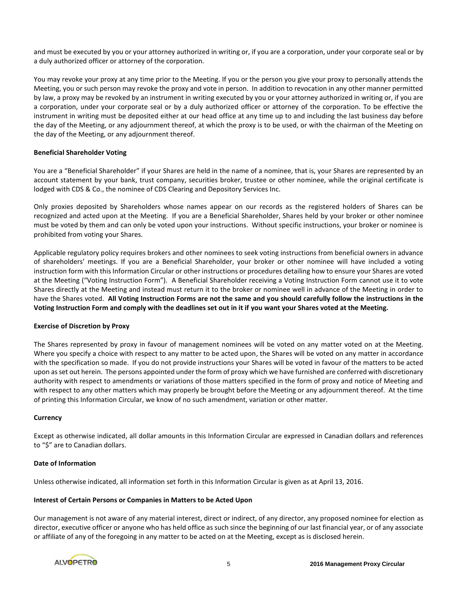and must be executed by you or your attorney authorized in writing or, if you are a corporation, under your corporate seal or by a duly authorized officer or attorney of the corporation.

You may revoke your proxy at any time prior to the Meeting. If you or the person you give your proxy to personally attends the Meeting, you or such person may revoke the proxy and vote in person. In addition to revocation in any other manner permitted by law, a proxy may be revoked by an instrument in writing executed by you or your attorney authorized in writing or, if you are a corporation, under your corporate seal or by a duly authorized officer or attorney of the corporation. To be effective the instrument in writing must be deposited either at our head office at any time up to and including the last business day before the day of the Meeting, or any adjournment thereof, at which the proxy is to be used, or with the chairman of the Meeting on the day of the Meeting, or any adjournment thereof.

# **Beneficial Shareholder Voting**

You are a "Beneficial Shareholder" if your Shares are held in the name of a nominee, that is, your Shares are represented by an account statement by your bank, trust company, securities broker, trustee or other nominee, while the original certificate is lodged with CDS & Co., the nominee of CDS Clearing and Depository Services Inc.

Only proxies deposited by Shareholders whose names appear on our records as the registered holders of Shares can be recognized and acted upon at the Meeting. If you are a Beneficial Shareholder, Shares held by your broker or other nominee must be voted by them and can only be voted upon your instructions. Without specific instructions, your broker or nominee is prohibited from voting your Shares.

Applicable regulatory policy requires brokers and other nominees to seek voting instructions from beneficial owners in advance of shareholders' meetings. If you are a Beneficial Shareholder, your broker or other nominee will have included a voting instruction form with this Information Circular or other instructions or procedures detailing how to ensure your Shares are voted at the Meeting ("Voting Instruction Form"). A Beneficial Shareholder receiving a Voting Instruction Form cannot use it to vote Shares directly at the Meeting and instead must return it to the broker or nominee well in advance of the Meeting in order to have the Shares voted. **All Voting Instruction Forms are not the same and you should carefully follow the instructions in the Voting Instruction Form and comply with the deadlines set out in it if you want your Shares voted at the Meeting.** 

#### **Exercise of Discretion by Proxy**

The Shares represented by proxy in favour of management nominees will be voted on any matter voted on at the Meeting. Where you specify a choice with respect to any matter to be acted upon, the Shares will be voted on any matter in accordance with the specification so made. If you do not provide instructions your Shares will be voted in favour of the matters to be acted upon as set out herein. The persons appointed under the form of proxy which we have furnished are conferred with discretionary authority with respect to amendments or variations of those matters specified in the form of proxy and notice of Meeting and with respect to any other matters which may properly be brought before the Meeting or any adjournment thereof. At the time of printing this Information Circular, we know of no such amendment, variation or other matter.

#### **Currency**

Except as otherwise indicated, all dollar amounts in this Information Circular are expressed in Canadian dollars and references to "\$" are to Canadian dollars.

#### **Date of Information**

Unless otherwise indicated, all information set forth in this Information Circular is given as at April 13, 2016.

#### **Interest of Certain Persons or Companies in Matters to be Acted Upon**

Our management is not aware of any material interest, direct or indirect, of any director, any proposed nominee for election as director, executive officer or anyone who has held office as such since the beginning of our last financial year, or of any associate or affiliate of any of the foregoing in any matter to be acted on at the Meeting, except as is disclosed herein.

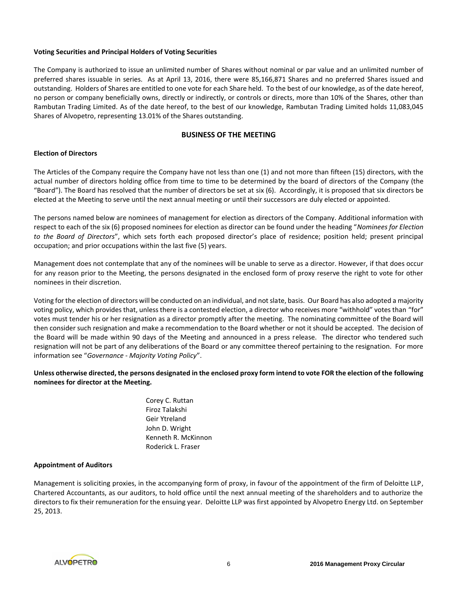# **Voting Securities and Principal Holders of Voting Securities**

The Company is authorized to issue an unlimited number of Shares without nominal or par value and an unlimited number of preferred shares issuable in series. As at April 13, 2016, there were 85,166,871 Shares and no preferred Shares issued and outstanding. Holders of Shares are entitled to one vote for each Share held. To the best of our knowledge, as of the date hereof, no person or company beneficially owns, directly or indirectly, or controls or directs, more than 10% of the Shares, other than Rambutan Trading Limited. As of the date hereof, to the best of our knowledge, Rambutan Trading Limited holds 11,083,045 Shares of Alvopetro, representing 13.01% of the Shares outstanding.

# **BUSINESS OF THE MEETING**

# **Election of Directors**

The Articles of the Company require the Company have not less than one (1) and not more than fifteen (15) directors, with the actual number of directors holding office from time to time to be determined by the board of directors of the Company (the "Board"). The Board has resolved that the number of directors be set at six (6). Accordingly, it is proposed that six directors be elected at the Meeting to serve until the next annual meeting or until their successors are duly elected or appointed.

The persons named below are nominees of management for election as directors of the Company. Additional information with respect to each of the six (6) proposed nominees for election as director can be found under the heading "*Nominees for Election to the Board of Directors*", which sets forth each proposed director's place of residence; position held; present principal occupation; and prior occupations within the last five (5) years.

Management does not contemplate that any of the nominees will be unable to serve as a director. However, if that does occur for any reason prior to the Meeting, the persons designated in the enclosed form of proxy reserve the right to vote for other nominees in their discretion.

Voting for the election of directors will be conducted on an individual, and not slate, basis. Our Board has also adopted a majority voting policy, which provides that, unless there is a contested election, a director who receives more "withhold" votes than "for" votes must tender his or her resignation as a director promptly after the meeting. The nominating committee of the Board will then consider such resignation and make a recommendation to the Board whether or not it should be accepted. The decision of the Board will be made within 90 days of the Meeting and announced in a press release. The director who tendered such resignation will not be part of any deliberations of the Board or any committee thereof pertaining to the resignation. For more information see "*Governance - Majority Voting Policy*".

**Unless otherwise directed, the persons designated in the enclosed proxy form intend to vote FOR the election of the following nominees for director at the Meeting.**

> Corey C. Ruttan Firoz Talakshi Geir Ytreland John D. Wright Kenneth R. McKinnon Roderick L. Fraser

#### **Appointment of Auditors**

Management is soliciting proxies, in the accompanying form of proxy, in favour of the appointment of the firm of Deloitte LLP, Chartered Accountants, as our auditors, to hold office until the next annual meeting of the shareholders and to authorize the directors to fix their remuneration for the ensuing year. Deloitte LLP was first appointed by Alvopetro Energy Ltd. on September 25, 2013.

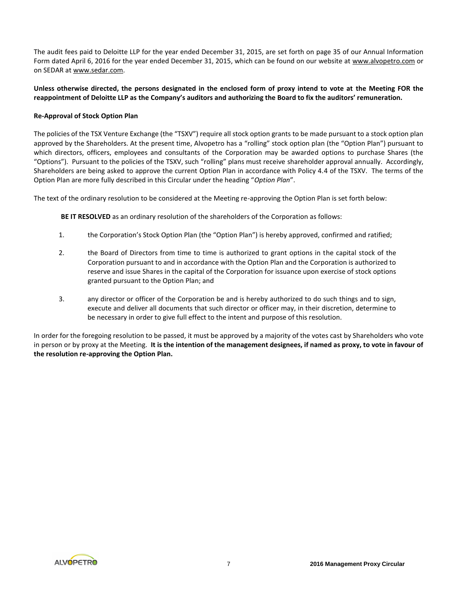The audit fees paid to Deloitte LLP for the year ended December 31, 2015, are set forth on page 35 of our Annual Information Form dated April 6, 2016 for the year ended December 31, 2015, which can be found on our website at www.alvopetro.com or on SEDAR at www.sedar.com.

# **Unless otherwise directed, the persons designated in the enclosed form of proxy intend to vote at the Meeting FOR the reappointment of Deloitte LLP as the Company's auditors and authorizing the Board to fix the auditors' remuneration.**

# **Re-Approval of Stock Option Plan**

The policies of the TSX Venture Exchange (the "TSXV") require all stock option grants to be made pursuant to a stock option plan approved by the Shareholders. At the present time, Alvopetro has a "rolling" stock option plan (the "Option Plan") pursuant to which directors, officers, employees and consultants of the Corporation may be awarded options to purchase Shares (the "Options"). Pursuant to the policies of the TSXV, such "rolling" plans must receive shareholder approval annually. Accordingly, Shareholders are being asked to approve the current Option Plan in accordance with Policy 4.4 of the TSXV. The terms of the Option Plan are more fully described in this Circular under the heading "*Option Plan*".

The text of the ordinary resolution to be considered at the Meeting re-approving the Option Plan is set forth below:

**BE IT RESOLVED** as an ordinary resolution of the shareholders of the Corporation as follows:

- 1. the Corporation's Stock Option Plan (the "Option Plan") is hereby approved, confirmed and ratified;
- 2. the Board of Directors from time to time is authorized to grant options in the capital stock of the Corporation pursuant to and in accordance with the Option Plan and the Corporation is authorized to reserve and issue Shares in the capital of the Corporation for issuance upon exercise of stock options granted pursuant to the Option Plan; and
- 3. any director or officer of the Corporation be and is hereby authorized to do such things and to sign, execute and deliver all documents that such director or officer may, in their discretion, determine to be necessary in order to give full effect to the intent and purpose of this resolution.

In order for the foregoing resolution to be passed, it must be approved by a majority of the votes cast by Shareholders who vote in person or by proxy at the Meeting. **It is the intention of the management designees, if named as proxy, to vote in favour of the resolution re-approving the Option Plan.**

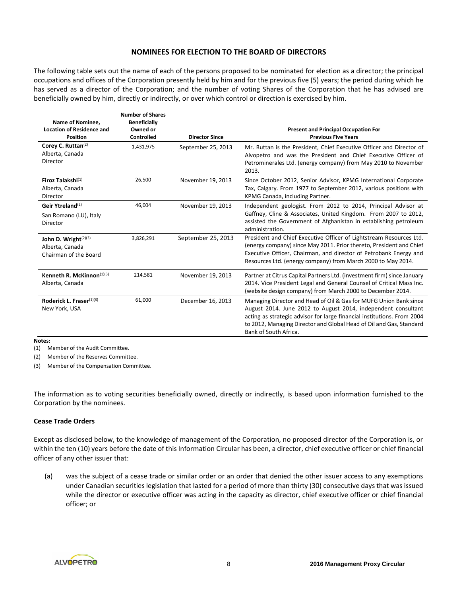# **NOMINEES FOR ELECTION TO THE BOARD OF DIRECTORS**

The following table sets out the name of each of the persons proposed to be nominated for election as a director; the principal occupations and offices of the Corporation presently held by him and for the previous five (5) years; the period during which he has served as a director of the Corporation; and the number of voting Shares of the Corporation that he has advised are beneficially owned by him, directly or indirectly, or over which control or direction is exercised by him.

| Name of Nominee,<br><b>Location of Residence and</b><br><b>Position</b>      | <b>Number of Shares</b><br><b>Beneficially</b><br>Owned or<br>Controlled | <b>Director Since</b> | <b>Present and Principal Occupation For</b><br><b>Previous Five Years</b>                                                                                                                                                                                                                                     |
|------------------------------------------------------------------------------|--------------------------------------------------------------------------|-----------------------|---------------------------------------------------------------------------------------------------------------------------------------------------------------------------------------------------------------------------------------------------------------------------------------------------------------|
| Corey C. Ruttan(2)<br>Alberta, Canada<br><b>Director</b>                     | 1,431,975                                                                | September 25, 2013    | Mr. Ruttan is the President, Chief Executive Officer and Director of<br>Alvopetro and was the President and Chief Executive Officer of<br>Petrominerales Ltd. (energy company) from May 2010 to November<br>2013.                                                                                             |
| Firoz Talakshi <sup>(1)</sup><br>Alberta, Canada<br>Director                 | 26,500                                                                   | November 19, 2013     | Since October 2012, Senior Advisor, KPMG International Corporate<br>Tax, Calgary. From 1977 to September 2012, various positions with<br>KPMG Canada, including Partner.                                                                                                                                      |
| Geir Ytreland <sup>(2)</sup><br>San Romano (LU), Italy<br>Director           | 46,004                                                                   | November 19, 2013     | Independent geologist. From 2012 to 2014, Principal Advisor at<br>Gaffney, Cline & Associates, United Kingdom. From 2007 to 2012,<br>assisted the Government of Afghanistan in establishing petroleum<br>administration.                                                                                      |
| John D. Wright <sup>(2)(3)</sup><br>Alberta, Canada<br>Chairman of the Board | 3,826,291                                                                | September 25, 2013    | President and Chief Executive Officer of Lightstream Resources Ltd.<br>(energy company) since May 2011. Prior thereto, President and Chief<br>Executive Officer, Chairman, and director of Petrobank Energy and<br>Resources Ltd. (energy company) from March 2000 to May 2014.                               |
| Kenneth R. McKinnon $(1)(3)$<br>Alberta, Canada                              | 214,581                                                                  | November 19, 2013     | Partner at Citrus Capital Partners Ltd. (investment firm) since January<br>2014. Vice President Legal and General Counsel of Critical Mass Inc.<br>(website design company) from March 2000 to December 2014.                                                                                                 |
| Roderick L. Fraser(1)(3)<br>New York, USA                                    | 61,000                                                                   | December 16, 2013     | Managing Director and Head of Oil & Gas for MUFG Union Bank since<br>August 2014. June 2012 to August 2014, independent consultant<br>acting as strategic advisor for large financial institutions. From 2004<br>to 2012, Managing Director and Global Head of Oil and Gas, Standard<br>Bank of South Africa. |

**Notes:**

(1) Member of the Audit Committee.

(2) Member of the Reserves Committee.

(3) Member of the Compensation Committee.

The information as to voting securities beneficially owned, directly or indirectly, is based upon information furnished to the Corporation by the nominees.

# **Cease Trade Orders**

Except as disclosed below, to the knowledge of management of the Corporation, no proposed director of the Corporation is, or within the ten (10) years before the date of this Information Circular has been, a director, chief executive officer or chief financial officer of any other issuer that:

(a) was the subject of a cease trade or similar order or an order that denied the other issuer access to any exemptions under Canadian securities legislation that lasted for a period of more than thirty (30) consecutive days that was issued while the director or executive officer was acting in the capacity as director, chief executive officer or chief financial officer; or

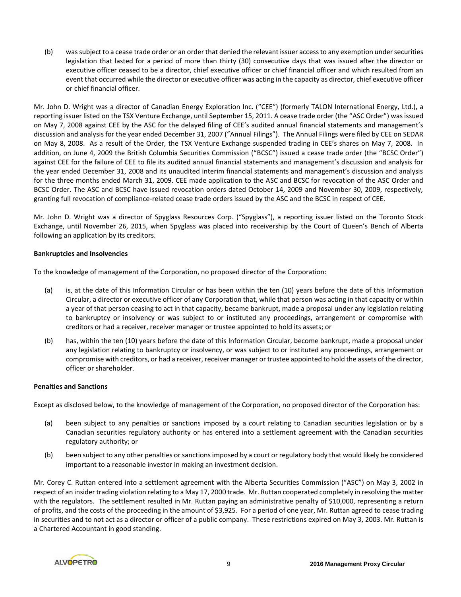(b) was subject to a cease trade order or an order that denied the relevant issuer access to any exemption under securities legislation that lasted for a period of more than thirty (30) consecutive days that was issued after the director or executive officer ceased to be a director, chief executive officer or chief financial officer and which resulted from an event that occurred while the director or executive officer was acting in the capacity as director, chief executive officer or chief financial officer.

Mr. John D. Wright was a director of Canadian Energy Exploration Inc. ("CEE") (formerly TALON International Energy, Ltd.), a reporting issuer listed on the TSX Venture Exchange, until September 15, 2011. A cease trade order (the "ASC Order") was issued on May 7, 2008 against CEE by the ASC for the delayed filing of CEE's audited annual financial statements and management's discussion and analysis for the year ended December 31, 2007 ("Annual Filings"). The Annual Filings were filed by CEE on SEDAR on May 8, 2008. As a result of the Order, the TSX Venture Exchange suspended trading in CEE's shares on May 7, 2008. In addition, on June 4, 2009 the British Columbia Securities Commission ("BCSC") issued a cease trade order (the "BCSC Order") against CEE for the failure of CEE to file its audited annual financial statements and management's discussion and analysis for the year ended December 31, 2008 and its unaudited interim financial statements and management's discussion and analysis for the three months ended March 31, 2009. CEE made application to the ASC and BCSC for revocation of the ASC Order and BCSC Order. The ASC and BCSC have issued revocation orders dated October 14, 2009 and November 30, 2009, respectively, granting full revocation of compliance-related cease trade orders issued by the ASC and the BCSC in respect of CEE.

Mr. John D. Wright was a director of Spyglass Resources Corp. ("Spyglass"), a reporting issuer listed on the Toronto Stock Exchange, until November 26, 2015, when Spyglass was placed into receivership by the Court of Queen's Bench of Alberta following an application by its creditors.

# **Bankruptcies and Insolvencies**

To the knowledge of management of the Corporation, no proposed director of the Corporation:

- (a) is, at the date of this Information Circular or has been within the ten (10) years before the date of this Information Circular, a director or executive officer of any Corporation that, while that person was acting in that capacity or within a year of that person ceasing to act in that capacity, became bankrupt, made a proposal under any legislation relating to bankruptcy or insolvency or was subject to or instituted any proceedings, arrangement or compromise with creditors or had a receiver, receiver manager or trustee appointed to hold its assets; or
- (b) has, within the ten (10) years before the date of this Information Circular, become bankrupt, made a proposal under any legislation relating to bankruptcy or insolvency, or was subject to or instituted any proceedings, arrangement or compromise with creditors, or had a receiver, receiver manager or trustee appointed to hold the assets of the director, officer or shareholder.

# **Penalties and Sanctions**

Except as disclosed below, to the knowledge of management of the Corporation, no proposed director of the Corporation has:

- (a) been subject to any penalties or sanctions imposed by a court relating to Canadian securities legislation or by a Canadian securities regulatory authority or has entered into a settlement agreement with the Canadian securities regulatory authority; or
- (b) been subject to any other penalties or sanctions imposed by a court or regulatory body that would likely be considered important to a reasonable investor in making an investment decision.

Mr. Corey C. Ruttan entered into a settlement agreement with the Alberta Securities Commission ("ASC") on May 3, 2002 in respect of an insider trading violation relating to a May 17, 2000 trade. Mr. Ruttan cooperated completely in resolving the matter with the regulators. The settlement resulted in Mr. Ruttan paying an administrative penalty of \$10,000, representing a return of profits, and the costs of the proceeding in the amount of \$3,925. For a period of one year, Mr. Ruttan agreed to cease trading in securities and to not act as a director or officer of a public company. These restrictions expired on May 3, 2003. Mr. Ruttan is a Chartered Accountant in good standing.

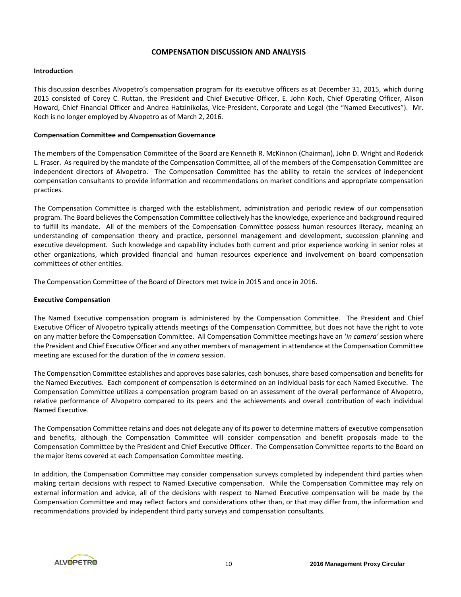# **COMPENSATION DISCUSSION AND ANALYSIS**

#### **Introduction**

This discussion describes Alvopetro's compensation program for its executive officers as at December 31, 2015, which during 2015 consisted of Corey C. Ruttan, the President and Chief Executive Officer, E. John Koch, Chief Operating Officer, Alison Howard, Chief Financial Officer and Andrea Hatzinikolas, Vice-President, Corporate and Legal (the "Named Executives"). Mr. Koch is no longer employed by Alvopetro as of March 2, 2016.

# **Compensation Committee and Compensation Governance**

The members of the Compensation Committee of the Board are Kenneth R. McKinnon (Chairman), John D. Wright and Roderick L. Fraser. As required by the mandate of the Compensation Committee, all of the members of the Compensation Committee are independent directors of Alvopetro. The Compensation Committee has the ability to retain the services of independent compensation consultants to provide information and recommendations on market conditions and appropriate compensation practices.

The Compensation Committee is charged with the establishment, administration and periodic review of our compensation program. The Board believes the Compensation Committee collectively has the knowledge, experience and background required to fulfill its mandate. All of the members of the Compensation Committee possess human resources literacy, meaning an understanding of compensation theory and practice, personnel management and development, succession planning and executive development. Such knowledge and capability includes both current and prior experience working in senior roles at other organizations, which provided financial and human resources experience and involvement on board compensation committees of other entities.

The Compensation Committee of the Board of Directors met twice in 2015 and once in 2016.

#### **Executive Compensation**

The Named Executive compensation program is administered by the Compensation Committee. The President and Chief Executive Officer of Alvopetro typically attends meetings of the Compensation Committee, but does not have the right to vote on any matter before the Compensation Committee. All Compensation Committee meetings have an '*in camera'* session where the President and Chief Executive Officer and any other members of management in attendance at the Compensation Committee meeting are excused for the duration of the *in camera* session.

The Compensation Committee establishes and approves base salaries, cash bonuses, share based compensation and benefits for the Named Executives. Each component of compensation is determined on an individual basis for each Named Executive. The Compensation Committee utilizes a compensation program based on an assessment of the overall performance of Alvopetro, relative performance of Alvopetro compared to its peers and the achievements and overall contribution of each individual Named Executive.

The Compensation Committee retains and does not delegate any of its power to determine matters of executive compensation and benefits, although the Compensation Committee will consider compensation and benefit proposals made to the Compensation Committee by the President and Chief Executive Officer. The Compensation Committee reports to the Board on the major items covered at each Compensation Committee meeting.

In addition, the Compensation Committee may consider compensation surveys completed by independent third parties when making certain decisions with respect to Named Executive compensation. While the Compensation Committee may rely on external information and advice, all of the decisions with respect to Named Executive compensation will be made by the Compensation Committee and may reflect factors and considerations other than, or that may differ from, the information and recommendations provided by independent third party surveys and compensation consultants.

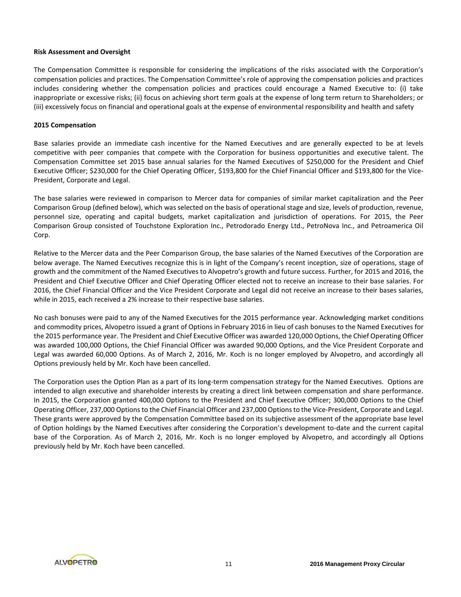# **Risk Assessment and Oversight**

The Compensation Committee is responsible for considering the implications of the risks associated with the Corporation's compensation policies and practices. The Compensation Committee's role of approving the compensation policies and practices includes considering whether the compensation policies and practices could encourage a Named Executive to: (i) take inappropriate or excessive risks; (ii) focus on achieving short term goals at the expense of long term return to Shareholders; or (iii) excessively focus on financial and operational goals at the expense of environmental responsibility and health and safety

# **2015 Compensation**

Base salaries provide an immediate cash incentive for the Named Executives and are generally expected to be at levels competitive with peer companies that compete with the Corporation for business opportunities and executive talent. The Compensation Committee set 2015 base annual salaries for the Named Executives of \$250,000 for the President and Chief Executive Officer; \$230,000 for the Chief Operating Officer, \$193,800 for the Chief Financial Officer and \$193,800 for the Vice-President, Corporate and Legal.

The base salaries were reviewed in comparison to Mercer data for companies of similar market capitalization and the Peer Comparison Group (defined below), which was selected on the basis of operational stage and size, levels of production, revenue, personnel size, operating and capital budgets, market capitalization and jurisdiction of operations. For 2015, the Peer Comparison Group consisted of Touchstone Exploration Inc., Petrodorado Energy Ltd., PetroNova Inc., and Petroamerica Oil Corp.

Relative to the Mercer data and the Peer Comparison Group, the base salaries of the Named Executives of the Corporation are below average. The Named Executives recognize this is in light of the Company's recent inception, size of operations, stage of growth and the commitment of the Named Executives to Alvopetro's growth and future success. Further, for 2015 and 2016, the President and Chief Executive Officer and Chief Operating Officer elected not to receive an increase to their base salaries. For 2016, the Chief Financial Officer and the Vice President Corporate and Legal did not receive an increase to their bases salaries, while in 2015, each received a 2% increase to their respective base salaries.

No cash bonuses were paid to any of the Named Executives for the 2015 performance year. Acknowledging market conditions and commodity prices, Alvopetro issued a grant of Options in February 2016 in lieu of cash bonuses to the Named Executives for the 2015 performance year. The President and Chief Executive Officer was awarded 120,000 Options, the Chief Operating Officer was awarded 100,000 Options, the Chief Financial Officer was awarded 90,000 Options, and the Vice President Corporate and Legal was awarded 60,000 Options. As of March 2, 2016, Mr. Koch is no longer employed by Alvopetro, and accordingly all Options previously held by Mr. Koch have been cancelled.

The Corporation uses the Option Plan as a part of its long-term compensation strategy for the Named Executives. Options are intended to align executive and shareholder interests by creating a direct link between compensation and share performance. In 2015, the Corporation granted 400,000 Options to the President and Chief Executive Officer; 300,000 Options to the Chief Operating Officer, 237,000 Options to the Chief Financial Officer and 237,000 Options to the Vice-President, Corporate and Legal. These grants were approved by the Compensation Committee based on its subjective assessment of the appropriate base level of Option holdings by the Named Executives after considering the Corporation's development to-date and the current capital base of the Corporation. As of March 2, 2016, Mr. Koch is no longer employed by Alvopetro, and accordingly all Options previously held by Mr. Koch have been cancelled.

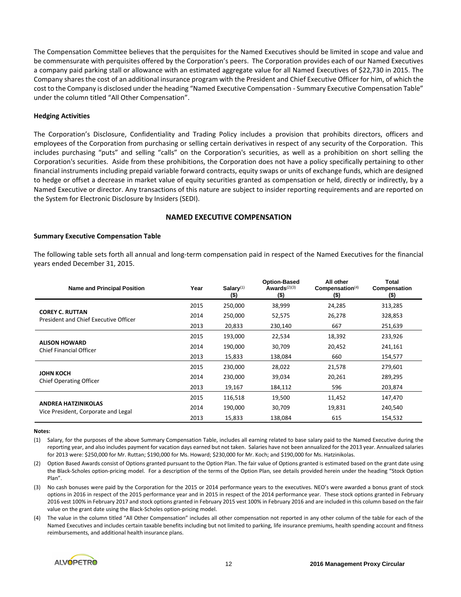The Compensation Committee believes that the perquisites for the Named Executives should be limited in scope and value and be commensurate with perquisites offered by the Corporation's peers. The Corporation provides each of our Named Executives a company paid parking stall or allowance with an estimated aggregate value for all Named Executives of \$22,730 in 2015. The Company shares the cost of an additional insurance program with the President and Chief Executive Officer for him, of which the cost to the Company is disclosed under the heading "Named Executive Compensation - Summary Executive Compensation Table" under the column titled "All Other Compensation".

#### **Hedging Activities**

The Corporation's Disclosure, Confidentiality and Trading Policy includes a provision that prohibits directors, officers and employees of the Corporation from purchasing or selling certain derivatives in respect of any security of the Corporation. This includes purchasing "puts" and selling "calls" on the Corporation's securities, as well as a prohibition on short selling the Corporation's securities. Aside from these prohibitions, the Corporation does not have a policy specifically pertaining to other financial instruments including prepaid variable forward contracts, equity swaps or units of exchange funds, which are designed to hedge or offset a decrease in market value of equity securities granted as compensation or held, directly or indirectly, by a Named Executive or director. Any transactions of this nature are subject to insider reporting requirements and are reported on the System for Electronic Disclosure by Insiders (SEDI).

# **NAMED EXECUTIVE COMPENSATION**

#### **Summary Executive Compensation Table**

The following table sets forth all annual and long-term compensation paid in respect of the Named Executives for the financial years ended December 31, 2015.

| <b>Name and Principal Position</b>                                | Year | Salary $(1)$<br>$($ \$) | <b>Option-Based</b><br>Awards $(2)(3)$<br>$($ \$) | All other<br>Compensation <sup>(4)</sup><br>$($ \$) | Total<br>Compensation<br>$($ \$) |
|-------------------------------------------------------------------|------|-------------------------|---------------------------------------------------|-----------------------------------------------------|----------------------------------|
|                                                                   | 2015 | 250,000                 | 38,999                                            | 24,285                                              | 313,285                          |
| <b>COREY C. RUTTAN</b><br>President and Chief Executive Officer   | 2014 | 250,000                 | 52,575                                            | 26,278                                              | 328,853                          |
|                                                                   | 2013 | 20,833                  | 230,140                                           | 667                                                 | 251,639                          |
| <b>ALISON HOWARD</b><br><b>Chief Financial Officer</b>            | 2015 | 193,000                 | 22,534                                            | 18,392                                              | 233,926                          |
|                                                                   | 2014 | 190,000                 | 30,709                                            | 20,452                                              | 241,161                          |
|                                                                   | 2013 | 15,833                  | 138,084                                           | 660                                                 | 154,577                          |
|                                                                   | 2015 | 230,000                 | 28,022                                            | 21,578                                              | 279,601                          |
| <b>JOHN KOCH</b><br><b>Chief Operating Officer</b>                | 2014 | 230,000                 | 39,034                                            | 20,261                                              | 289,295                          |
|                                                                   | 2013 | 19,167                  | 184,112                                           | 596                                                 | 203,874                          |
| <b>ANDREA HATZINIKOLAS</b><br>Vice President, Corporate and Legal | 2015 | 116,518                 | 19,500                                            | 11,452                                              | 147,470                          |
|                                                                   | 2014 | 190,000                 | 30,709                                            | 19,831                                              | 240,540                          |
|                                                                   | 2013 | 15,833                  | 138,084                                           | 615                                                 | 154,532                          |

#### **Notes:**

- (1) Salary, for the purposes of the above Summary Compensation Table, includes all earning related to base salary paid to the Named Executive during the reporting year, and also includes payment for vacation days earned but not taken. Salaries have not been annualized for the 2013 year. Annualized salaries for 2013 were: \$250,000 for Mr. Ruttan; \$190,000 for Ms. Howard; \$230,000 for Mr. Koch; and \$190,000 for Ms. Hatzinikolas.
- (2) Option Based Awards consist of Options granted pursuant to the Option Plan. The fair value of Options granted is estimated based on the grant date using the Black-Scholes option-pricing model. For a description of the terms of the Option Plan, see details provided herein under the heading "Stock Option Plan".
- (3) No cash bonuses were paid by the Corporation for the 2015 or 2014 performance years to the executives. NEO's were awarded a bonus grant of stock options in 2016 in respect of the 2015 performance year and in 2015 in respect of the 2014 performance year. These stock options granted in February 2016 vest 100% in February 2017 and stock options granted in February 2015 vest 100% in February 2016 and are included in this column based on the fair value on the grant date using the Black-Scholes option-pricing model.
- (4) The value in the column titled "All Other Compensation" includes all other compensation not reported in any other column of the table for each of the Named Executives and includes certain taxable benefits including but not limited to parking, life insurance premiums, health spending account and fitness reimbursements, and additional health insurance plans.

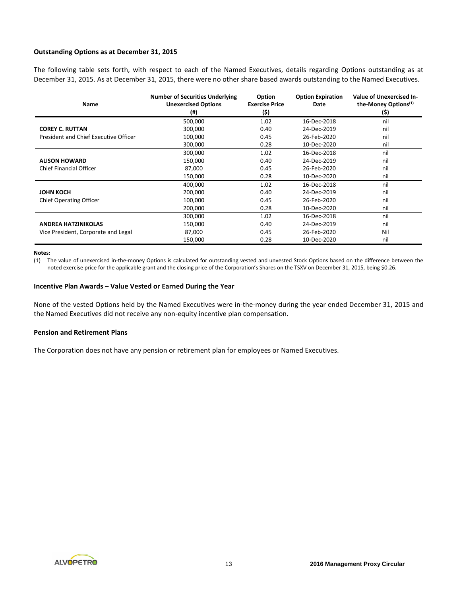# **Outstanding Options as at December 31, 2015**

The following table sets forth, with respect to each of the Named Executives, details regarding Options outstanding as at December 31, 2015. As at December 31, 2015, there were no other share based awards outstanding to the Named Executives.

| Name                                  | <b>Number of Securities Underlying</b><br><b>Unexercised Options</b><br>(# ) | <b>Option</b><br><b>Exercise Price</b><br>(\$) | <b>Option Expiration</b><br>Date | <b>Value of Unexercised In-</b><br>the-Money Options <sup>(1)</sup><br>(\$) |
|---------------------------------------|------------------------------------------------------------------------------|------------------------------------------------|----------------------------------|-----------------------------------------------------------------------------|
|                                       | 500,000                                                                      | 1.02                                           | 16-Dec-2018                      | nil                                                                         |
| <b>COREY C. RUTTAN</b>                | 300,000                                                                      | 0.40                                           | 24-Dec-2019                      | nil                                                                         |
| President and Chief Executive Officer | 100,000                                                                      | 0.45                                           | 26-Feb-2020                      | nil                                                                         |
|                                       | 300,000                                                                      | 0.28                                           | 10-Dec-2020                      | nil                                                                         |
|                                       | 300,000                                                                      | 1.02                                           | 16-Dec-2018                      | nil                                                                         |
| <b>ALISON HOWARD</b>                  | 150,000                                                                      | 0.40                                           | 24-Dec-2019                      | nil                                                                         |
| <b>Chief Financial Officer</b>        | 87,000                                                                       | 0.45                                           | 26-Feb-2020                      | nil                                                                         |
|                                       | 150,000                                                                      | 0.28                                           | 10-Dec-2020                      | nil                                                                         |
|                                       | 400,000                                                                      | 1.02                                           | 16-Dec-2018                      | nil                                                                         |
| <b>JOHN KOCH</b>                      | 200,000                                                                      | 0.40                                           | 24-Dec-2019                      | nil                                                                         |
| <b>Chief Operating Officer</b>        | 100,000                                                                      | 0.45                                           | 26-Feb-2020                      | nil                                                                         |
|                                       | 200,000                                                                      | 0.28                                           | 10-Dec-2020                      | nil                                                                         |
|                                       | 300,000                                                                      | 1.02                                           | 16-Dec-2018                      | nil                                                                         |
| <b>ANDREA HATZINIKOLAS</b>            | 150,000                                                                      | 0.40                                           | 24-Dec-2019                      | nil                                                                         |
| Vice President, Corporate and Legal   | 87,000                                                                       | 0.45                                           | 26-Feb-2020                      | Nil                                                                         |
|                                       | 150,000                                                                      | 0.28                                           | 10-Dec-2020                      | nil                                                                         |

#### **Notes:**

(1) The value of unexercised in-the-money Options is calculated for outstanding vested and unvested Stock Options based on the difference between the noted exercise price for the applicable grant and the closing price of the Corporation's Shares on the TSXV on December 31, 2015, being \$0.26.

#### **Incentive Plan Awards – Value Vested or Earned During the Year**

None of the vested Options held by the Named Executives were in-the-money during the year ended December 31, 2015 and the Named Executives did not receive any non-equity incentive plan compensation.

#### **Pension and Retirement Plans**

The Corporation does not have any pension or retirement plan for employees or Named Executives.

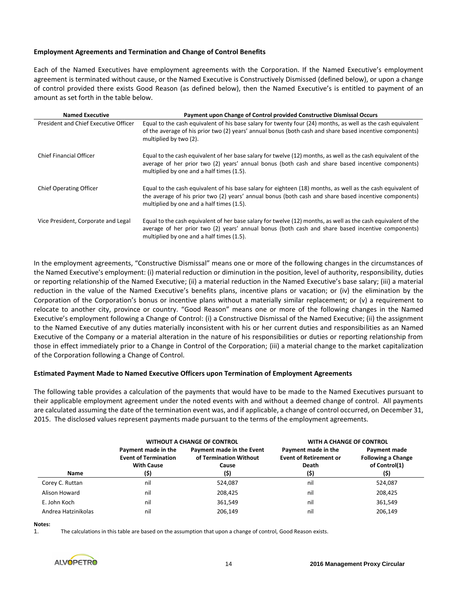# **Employment Agreements and Termination and Change of Control Benefits**

Each of the Named Executives have employment agreements with the Corporation. If the Named Executive's employment agreement is terminated without cause, or the Named Executive is Constructively Dismissed (defined below), or upon a change of control provided there exists Good Reason (as defined below), then the Named Executive's is entitled to payment of an amount as set forth in the table below.

| <b>Named Executive</b>                | Payment upon Change of Control provided Constructive Dismissal Occurs                                                                                                                                                                                             |
|---------------------------------------|-------------------------------------------------------------------------------------------------------------------------------------------------------------------------------------------------------------------------------------------------------------------|
| President and Chief Executive Officer | Equal to the cash equivalent of his base salary for twenty four (24) months, as well as the cash equivalent<br>of the average of his prior two (2) years' annual bonus (both cash and share based incentive components)<br>multiplied by two (2).                 |
| <b>Chief Financial Officer</b>        | Equal to the cash equivalent of her base salary for twelve (12) months, as well as the cash equivalent of the<br>average of her prior two (2) years' annual bonus (both cash and share based incentive components)<br>multiplied by one and a half times (1.5).   |
| <b>Chief Operating Officer</b>        | Equal to the cash equivalent of his base salary for eighteen (18) months, as well as the cash equivalent of<br>the average of his prior two (2) years' annual bonus (both cash and share based incentive components)<br>multiplied by one and a half times (1.5). |
| Vice President, Corporate and Legal   | Equal to the cash equivalent of her base salary for twelve (12) months, as well as the cash equivalent of the<br>average of her prior two (2) years' annual bonus (both cash and share based incentive components)<br>multiplied by one and a half times (1.5).   |

In the employment agreements, "Constructive Dismissal" means one or more of the following changes in the circumstances of the Named Executive's employment: (i) material reduction or diminution in the position, level of authority, responsibility, duties or reporting relationship of the Named Executive; (ii) a material reduction in the Named Executive's base salary; (iii) a material reduction in the value of the Named Executive's benefits plans, incentive plans or vacation; or (iv) the elimination by the Corporation of the Corporation's bonus or incentive plans without a materially similar replacement; or (v) a requirement to relocate to another city, province or country. "Good Reason" means one or more of the following changes in the Named Executive's employment following a Change of Control: (i) a Constructive Dismissal of the Named Executive; (ii) the assignment to the Named Executive of any duties materially inconsistent with his or her current duties and responsibilities as an Named Executive of the Company or a material alteration in the nature of his responsibilities or duties or reporting relationship from those in effect immediately prior to a Change in Control of the Corporation; (iii) a material change to the market capitalization of the Corporation following a Change of Control.

#### **Estimated Payment Made to Named Executive Officers upon Termination of Employment Agreements**

The following table provides a calculation of the payments that would have to be made to the Named Executives pursuant to their applicable employment agreement under the noted events with and without a deemed change of control. All payments are calculated assuming the date of the termination event was, and if applicable, a change of control occurred, on December 31, 2015. The disclosed values represent payments made pursuant to the terms of the employment agreements.

|                     | <b>WITHOUT A CHANGE OF CONTROL</b>                                              |                                                                      | WITH A CHANGE OF CONTROL                                              |                                                                    |
|---------------------|---------------------------------------------------------------------------------|----------------------------------------------------------------------|-----------------------------------------------------------------------|--------------------------------------------------------------------|
| Name                | Payment made in the<br><b>Event of Termination</b><br><b>With Cause</b><br>(\$) | Payment made in the Event<br>of Termination Without<br>Cause<br>(\$) | Payment made in the<br><b>Event of Retirement or</b><br>Death<br>(\$) | Payment made<br><b>Following a Change</b><br>of Control(1)<br>(\$) |
| Corey C. Ruttan     | nil                                                                             | 524.087                                                              | nil                                                                   | 524,087                                                            |
| Alison Howard       | nil                                                                             | 208,425                                                              | nil                                                                   | 208,425                                                            |
| E. John Koch        | nil                                                                             | 361.549                                                              | nil                                                                   | 361,549                                                            |
| Andrea Hatzinikolas | nil                                                                             | 206,149                                                              | nil                                                                   | 206,149                                                            |

**Notes:**

1. The calculations in this table are based on the assumption that upon a change of control, Good Reason exists.

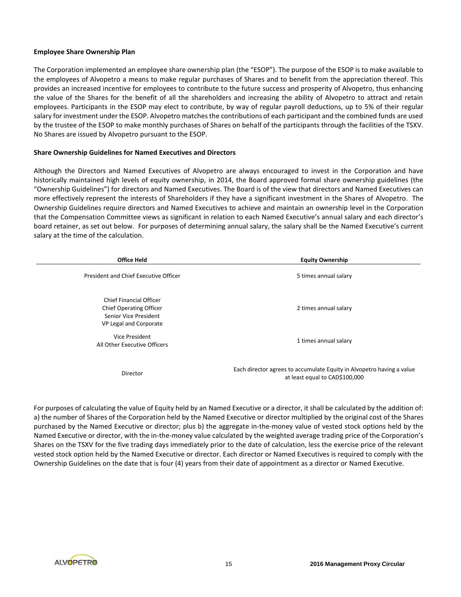#### **Employee Share Ownership Plan**

The Corporation implemented an employee share ownership plan (the "ESOP"). The purpose of the ESOP is to make available to the employees of Alvopetro a means to make regular purchases of Shares and to benefit from the appreciation thereof. This provides an increased incentive for employees to contribute to the future success and prosperity of Alvopetro, thus enhancing the value of the Shares for the benefit of all the shareholders and increasing the ability of Alvopetro to attract and retain employees. Participants in the ESOP may elect to contribute, by way of regular payroll deductions, up to 5% of their regular salary for investment under the ESOP. Alvopetro matches the contributions of each participant and the combined funds are used by the trustee of the ESOP to make monthly purchases of Shares on behalf of the participants through the facilities of the TSXV. No Shares are issued by Alvopetro pursuant to the ESOP.

#### **Share Ownership Guidelines for Named Executives and Directors**

Although the Directors and Named Executives of Alvopetro are always encouraged to invest in the Corporation and have historically maintained high levels of equity ownership, in 2014, the Board approved formal share ownership guidelines (the "Ownership Guidelines") for directors and Named Executives. The Board is of the view that directors and Named Executives can more effectively represent the interests of Shareholders if they have a significant investment in the Shares of Alvopetro. The Ownership Guidelines require directors and Named Executives to achieve and maintain an ownership level in the Corporation that the Compensation Committee views as significant in relation to each Named Executive's annual salary and each director's board retainer, as set out below. For purposes of determining annual salary, the salary shall be the Named Executive's current salary at the time of the calculation.

| <b>Office Held</b>                                                                                           | <b>Equity Ownership</b>                                                                                 |
|--------------------------------------------------------------------------------------------------------------|---------------------------------------------------------------------------------------------------------|
| President and Chief Executive Officer                                                                        | 5 times annual salary                                                                                   |
| <b>Chief Financial Officer</b><br>Chief Operating Officer<br>Senior Vice President<br>VP Legal and Corporate | 2 times annual salary                                                                                   |
| Vice President<br>All Other Executive Officers                                                               | 1 times annual salary                                                                                   |
| Director                                                                                                     | Each director agrees to accumulate Equity in Alvopetro having a value<br>at least equal to CAD\$100,000 |

For purposes of calculating the value of Equity held by an Named Executive or a director, it shall be calculated by the addition of: a) the number of Shares of the Corporation held by the Named Executive or director multiplied by the original cost of the Shares purchased by the Named Executive or director; plus b) the aggregate in-the-money value of vested stock options held by the Named Executive or director, with the in-the-money value calculated by the weighted average trading price of the Corporation's Shares on the TSXV for the five trading days immediately prior to the date of calculation, less the exercise price of the relevant vested stock option held by the Named Executive or director. Each director or Named Executives is required to comply with the Ownership Guidelines on the date that is four (4) years from their date of appointment as a director or Named Executive.

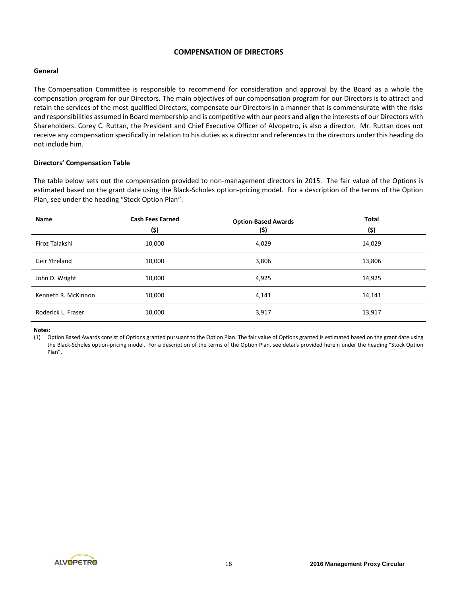# **COMPENSATION OF DIRECTORS**

# **General**

The Compensation Committee is responsible to recommend for consideration and approval by the Board as a whole the compensation program for our Directors. The main objectives of our compensation program for our Directors is to attract and retain the services of the most qualified Directors, compensate our Directors in a manner that is commensurate with the risks and responsibilities assumed in Board membership and is competitive with our peers and align the interests of our Directors with Shareholders. Corey C. Ruttan, the President and Chief Executive Officer of Alvopetro, is also a director. Mr. Ruttan does not receive any compensation specifically in relation to his duties as a director and references to the directors under this heading do not include him.

# **Directors' Compensation Table**

The table below sets out the compensation provided to non-management directors in 2015. The fair value of the Options is estimated based on the grant date using the Black-Scholes option-pricing model. For a description of the terms of the Option Plan, see under the heading "Stock Option Plan".

| Name                | <b>Cash Fees Earned</b><br>(\$) | <b>Option-Based Awards</b><br>(\$) | <b>Total</b><br>(\$) |
|---------------------|---------------------------------|------------------------------------|----------------------|
| Firoz Talakshi      | 10,000                          | 4,029                              | 14,029               |
| Geir Ytreland       | 10,000                          | 3,806                              | 13,806               |
| John D. Wright      | 10,000                          | 4,925                              | 14,925               |
| Kenneth R. McKinnon | 10,000                          | 4,141                              | 14,141               |
| Roderick L. Fraser  | 10,000                          | 3,917                              | 13,917               |

**Notes:**

(1) Option Based Awards consist of Options granted pursuant to the Option Plan. The fair value of Options granted is estimated based on the grant date using the Black-Scholes option-pricing model. For a description of the terms of the Option Plan, see details provided herein under the heading "Stock Option Plan".

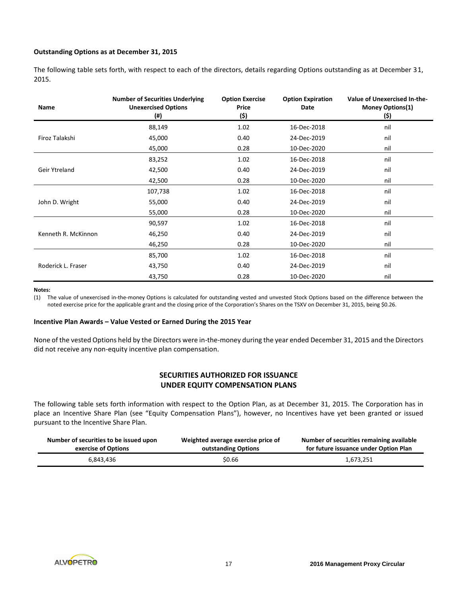# **Outstanding Options as at December 31, 2015**

The following table sets forth, with respect to each of the directors, details regarding Options outstanding as at December 31, 2015.

| Name                | <b>Number of Securities Underlying</b><br><b>Unexercised Options</b><br>$($ #) | <b>Option Exercise</b><br>Price<br>(\$) | <b>Option Expiration</b><br>Date | Value of Unexercised In-the-<br>Money Options(1)<br>(\$) |
|---------------------|--------------------------------------------------------------------------------|-----------------------------------------|----------------------------------|----------------------------------------------------------|
|                     | 88,149                                                                         | 1.02                                    | 16-Dec-2018                      | nil                                                      |
| Firoz Talakshi      | 45,000                                                                         | 0.40                                    | 24-Dec-2019                      | nil                                                      |
|                     | 45,000                                                                         | 0.28                                    | 10-Dec-2020                      | nil                                                      |
|                     | 83,252                                                                         | 1.02                                    | 16-Dec-2018                      | nil                                                      |
| Geir Ytreland       | 42,500                                                                         | 0.40                                    | 24-Dec-2019                      | nil                                                      |
|                     | 42,500                                                                         | 0.28                                    | 10-Dec-2020                      | nil                                                      |
|                     | 107,738                                                                        | 1.02                                    | 16-Dec-2018                      | nil                                                      |
| John D. Wright      | 55,000                                                                         | 0.40                                    | 24-Dec-2019                      | nil                                                      |
|                     | 55,000                                                                         | 0.28                                    | 10-Dec-2020                      | nil                                                      |
|                     | 90,597                                                                         | 1.02                                    | 16-Dec-2018                      | nil                                                      |
| Kenneth R. McKinnon | 46,250                                                                         | 0.40                                    | 24-Dec-2019                      | nil                                                      |
|                     | 46,250                                                                         | 0.28                                    | 10-Dec-2020                      | nil                                                      |
|                     | 85,700                                                                         | 1.02                                    | 16-Dec-2018                      | nil                                                      |
| Roderick L. Fraser  | 43,750                                                                         | 0.40                                    | 24-Dec-2019                      | nil                                                      |
|                     | 43,750                                                                         | 0.28                                    | 10-Dec-2020                      | nil                                                      |

#### **Notes:**

(1) The value of unexercised in-the-money Options is calculated for outstanding vested and unvested Stock Options based on the difference between the noted exercise price for the applicable grant and the closing price of the Corporation's Shares on the TSXV on December 31, 2015, being \$0.26.

#### **Incentive Plan Awards – Value Vested or Earned During the 2015 Year**

None of the vested Options held by the Directors were in-the-money during the year ended December 31, 2015 and the Directors did not receive any non-equity incentive plan compensation.

# **SECURITIES AUTHORIZED FOR ISSUANCE UNDER EQUITY COMPENSATION PLANS**

The following table sets forth information with respect to the Option Plan, as at December 31, 2015. The Corporation has in place an Incentive Share Plan (see "Equity Compensation Plans"), however, no Incentives have yet been granted or issued pursuant to the Incentive Share Plan.

| Number of securities to be issued upon | Weighted average exercise price of | Number of securities remaining available |
|----------------------------------------|------------------------------------|------------------------------------------|
| exercise of Options                    | outstanding Options                | for future issuance under Option Plan    |
| 6.843.436                              | \$0.66                             | 1,673,251                                |

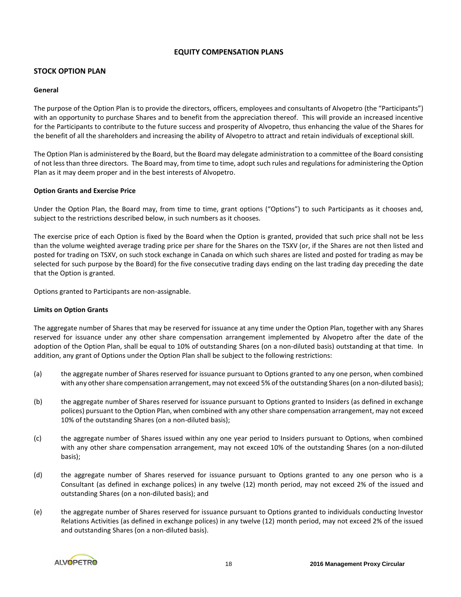# **EQUITY COMPENSATION PLANS**

# **STOCK OPTION PLAN**

# **General**

The purpose of the Option Plan is to provide the directors, officers, employees and consultants of Alvopetro (the "Participants") with an opportunity to purchase Shares and to benefit from the appreciation thereof. This will provide an increased incentive for the Participants to contribute to the future success and prosperity of Alvopetro, thus enhancing the value of the Shares for the benefit of all the shareholders and increasing the ability of Alvopetro to attract and retain individuals of exceptional skill.

The Option Plan is administered by the Board, but the Board may delegate administration to a committee of the Board consisting of not less than three directors. The Board may, from time to time, adopt such rules and regulations for administering the Option Plan as it may deem proper and in the best interests of Alvopetro.

# **Option Grants and Exercise Price**

Under the Option Plan, the Board may, from time to time, grant options ("Options") to such Participants as it chooses and, subject to the restrictions described below, in such numbers as it chooses.

The exercise price of each Option is fixed by the Board when the Option is granted, provided that such price shall not be less than the volume weighted average trading price per share for the Shares on the TSXV (or, if the Shares are not then listed and posted for trading on TSXV, on such stock exchange in Canada on which such shares are listed and posted for trading as may be selected for such purpose by the Board) for the five consecutive trading days ending on the last trading day preceding the date that the Option is granted.

Options granted to Participants are non-assignable.

# **Limits on Option Grants**

The aggregate number of Shares that may be reserved for issuance at any time under the Option Plan, together with any Shares reserved for issuance under any other share compensation arrangement implemented by Alvopetro after the date of the adoption of the Option Plan, shall be equal to 10% of outstanding Shares (on a non-diluted basis) outstanding at that time. In addition, any grant of Options under the Option Plan shall be subject to the following restrictions:

- (a) the aggregate number of Shares reserved for issuance pursuant to Options granted to any one person, when combined with any other share compensation arrangement, may not exceed 5% of the outstanding Shares(on a non-diluted basis);
- (b) the aggregate number of Shares reserved for issuance pursuant to Options granted to Insiders (as defined in exchange polices) pursuant to the Option Plan, when combined with any other share compensation arrangement, may not exceed 10% of the outstanding Shares (on a non-diluted basis);
- (c) the aggregate number of Shares issued within any one year period to Insiders pursuant to Options, when combined with any other share compensation arrangement, may not exceed 10% of the outstanding Shares (on a non-diluted basis);
- (d) the aggregate number of Shares reserved for issuance pursuant to Options granted to any one person who is a Consultant (as defined in exchange polices) in any twelve (12) month period, may not exceed 2% of the issued and outstanding Shares (on a non-diluted basis); and
- (e) the aggregate number of Shares reserved for issuance pursuant to Options granted to individuals conducting Investor Relations Activities (as defined in exchange polices) in any twelve (12) month period, may not exceed 2% of the issued and outstanding Shares (on a non-diluted basis).

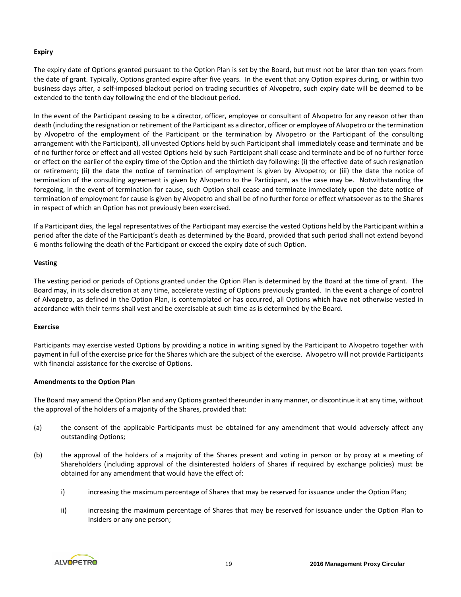# **Expiry**

The expiry date of Options granted pursuant to the Option Plan is set by the Board, but must not be later than ten years from the date of grant. Typically, Options granted expire after five years. In the event that any Option expires during, or within two business days after, a self-imposed blackout period on trading securities of Alvopetro, such expiry date will be deemed to be extended to the tenth day following the end of the blackout period.

In the event of the Participant ceasing to be a director, officer, employee or consultant of Alvopetro for any reason other than death (including the resignation or retirement of the Participant as a director, officer or employee of Alvopetro or the termination by Alvopetro of the employment of the Participant or the termination by Alvopetro or the Participant of the consulting arrangement with the Participant), all unvested Options held by such Participant shall immediately cease and terminate and be of no further force or effect and all vested Options held by such Participant shall cease and terminate and be of no further force or effect on the earlier of the expiry time of the Option and the thirtieth day following: (i) the effective date of such resignation or retirement; (ii) the date the notice of termination of employment is given by Alvopetro; or (iii) the date the notice of termination of the consulting agreement is given by Alvopetro to the Participant, as the case may be. Notwithstanding the foregoing, in the event of termination for cause, such Option shall cease and terminate immediately upon the date notice of termination of employment for cause is given by Alvopetro and shall be of no further force or effect whatsoever as to the Shares in respect of which an Option has not previously been exercised.

If a Participant dies, the legal representatives of the Participant may exercise the vested Options held by the Participant within a period after the date of the Participant's death as determined by the Board, provided that such period shall not extend beyond 6 months following the death of the Participant or exceed the expiry date of such Option.

# **Vesting**

The vesting period or periods of Options granted under the Option Plan is determined by the Board at the time of grant. The Board may, in its sole discretion at any time, accelerate vesting of Options previously granted. In the event a change of control of Alvopetro, as defined in the Option Plan, is contemplated or has occurred, all Options which have not otherwise vested in accordance with their terms shall vest and be exercisable at such time as is determined by the Board.

#### **Exercise**

Participants may exercise vested Options by providing a notice in writing signed by the Participant to Alvopetro together with payment in full of the exercise price for the Shares which are the subject of the exercise. Alvopetro will not provide Participants with financial assistance for the exercise of Options.

# **Amendments to the Option Plan**

The Board may amend the Option Plan and any Options granted thereunder in any manner, or discontinue it at any time, without the approval of the holders of a majority of the Shares, provided that:

- (a) the consent of the applicable Participants must be obtained for any amendment that would adversely affect any outstanding Options;
- (b) the approval of the holders of a majority of the Shares present and voting in person or by proxy at a meeting of Shareholders (including approval of the disinterested holders of Shares if required by exchange policies) must be obtained for any amendment that would have the effect of:
	- i) increasing the maximum percentage of Shares that may be reserved for issuance under the Option Plan;
	- ii) increasing the maximum percentage of Shares that may be reserved for issuance under the Option Plan to Insiders or any one person;

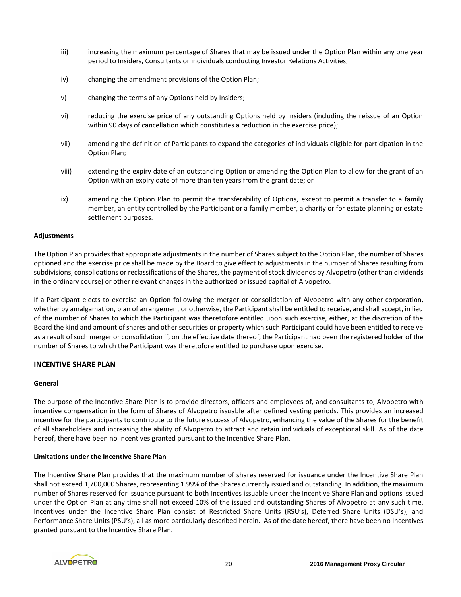- iii) increasing the maximum percentage of Shares that may be issued under the Option Plan within any one year period to Insiders, Consultants or individuals conducting Investor Relations Activities;
- iv) changing the amendment provisions of the Option Plan;
- v) changing the terms of any Options held by Insiders;
- vi) reducing the exercise price of any outstanding Options held by Insiders (including the reissue of an Option within 90 days of cancellation which constitutes a reduction in the exercise price);
- vii) amending the definition of Participants to expand the categories of individuals eligible for participation in the Option Plan;
- viii) extending the expiry date of an outstanding Option or amending the Option Plan to allow for the grant of an Option with an expiry date of more than ten years from the grant date; or
- ix) amending the Option Plan to permit the transferability of Options, except to permit a transfer to a family member, an entity controlled by the Participant or a family member, a charity or for estate planning or estate settlement purposes.

#### **Adjustments**

The Option Plan provides that appropriate adjustments in the number of Sharessubject to the Option Plan, the number of Shares optioned and the exercise price shall be made by the Board to give effect to adjustments in the number of Shares resulting from subdivisions, consolidations or reclassifications of the Shares, the payment of stock dividends by Alvopetro (other than dividends in the ordinary course) or other relevant changes in the authorized or issued capital of Alvopetro.

If a Participant elects to exercise an Option following the merger or consolidation of Alvopetro with any other corporation, whether by amalgamation, plan of arrangement or otherwise, the Participant shall be entitled to receive, and shall accept, in lieu of the number of Shares to which the Participant was theretofore entitled upon such exercise, either, at the discretion of the Board the kind and amount of shares and other securities or property which such Participant could have been entitled to receive as a result of such merger or consolidation if, on the effective date thereof, the Participant had been the registered holder of the number of Shares to which the Participant was theretofore entitled to purchase upon exercise.

#### **INCENTIVE SHARE PLAN**

#### **General**

The purpose of the Incentive Share Plan is to provide directors, officers and employees of, and consultants to, Alvopetro with incentive compensation in the form of Shares of Alvopetro issuable after defined vesting periods. This provides an increased incentive for the participants to contribute to the future success of Alvopetro, enhancing the value of the Shares for the benefit of all shareholders and increasing the ability of Alvopetro to attract and retain individuals of exceptional skill. As of the date hereof, there have been no Incentives granted pursuant to the Incentive Share Plan.

#### **Limitations under the Incentive Share Plan**

The Incentive Share Plan provides that the maximum number of shares reserved for issuance under the Incentive Share Plan shall not exceed 1,700,000 Shares, representing 1.99% of the Shares currently issued and outstanding. In addition, the maximum number of Shares reserved for issuance pursuant to both Incentives issuable under the Incentive Share Plan and options issued under the Option Plan at any time shall not exceed 10% of the issued and outstanding Shares of Alvopetro at any such time. Incentives under the Incentive Share Plan consist of Restricted Share Units (RSU's), Deferred Share Units (DSU's), and Performance Share Units (PSU's), all as more particularly described herein. As of the date hereof, there have been no Incentives granted pursuant to the Incentive Share Plan.

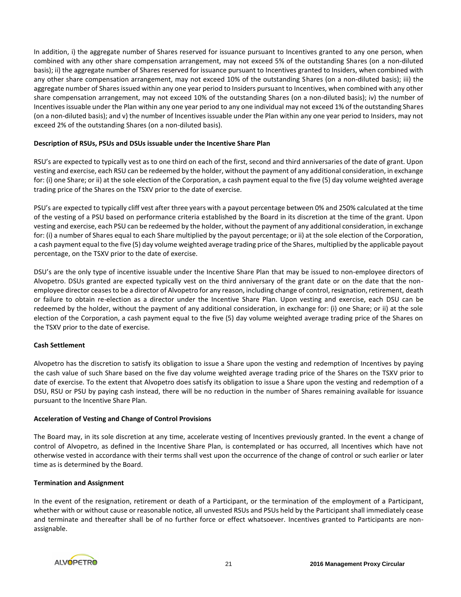In addition, i) the aggregate number of Shares reserved for issuance pursuant to Incentives granted to any one person, when combined with any other share compensation arrangement, may not exceed 5% of the outstanding Shares (on a non-diluted basis); ii) the aggregate number of Shares reserved for issuance pursuant to Incentives granted to Insiders, when combined with any other share compensation arrangement, may not exceed 10% of the outstanding Shares (on a non-diluted basis); iii) the aggregate number of Shares issued within any one year period to Insiders pursuant to Incentives, when combined with any other share compensation arrangement, may not exceed 10% of the outstanding Shares (on a non-diluted basis); iv) the number of Incentives issuable under the Plan within any one year period to any one individual may not exceed 1% of the outstanding Shares (on a non-diluted basis); and v) the number of Incentives issuable under the Plan within any one year period to Insiders, may not exceed 2% of the outstanding Shares (on a non-diluted basis).

# **Description of RSUs, PSUs and DSUs issuable under the Incentive Share Plan**

RSU's are expected to typically vest as to one third on each of the first, second and third anniversaries of the date of grant. Upon vesting and exercise, each RSU can be redeemed by the holder, without the payment of any additional consideration, in exchange for: (i) one Share; or ii) at the sole election of the Corporation, a cash payment equal to the five (5) day volume weighted average trading price of the Shares on the TSXV prior to the date of exercise.

PSU's are expected to typically cliff vest after three years with a payout percentage between 0% and 250% calculated at the time of the vesting of a PSU based on performance criteria established by the Board in its discretion at the time of the grant. Upon vesting and exercise, each PSU can be redeemed by the holder, without the payment of any additional consideration, in exchange for: (i) a number of Shares equal to each Share multiplied by the payout percentage; or ii) at the sole election of the Corporation, a cash payment equal to the five (5) day volume weighted average trading price of the Shares, multiplied by the applicable payout percentage, on the TSXV prior to the date of exercise.

DSU's are the only type of incentive issuable under the Incentive Share Plan that may be issued to non-employee directors of Alvopetro. DSUs granted are expected typically vest on the third anniversary of the grant date or on the date that the nonemployee director ceases to be a director of Alvopetro for any reason, including change of control, resignation, retirement, death or failure to obtain re-election as a director under the Incentive Share Plan. Upon vesting and exercise, each DSU can be redeemed by the holder, without the payment of any additional consideration, in exchange for: (i) one Share; or ii) at the sole election of the Corporation, a cash payment equal to the five (5) day volume weighted average trading price of the Shares on the TSXV prior to the date of exercise.

# **Cash Settlement**

Alvopetro has the discretion to satisfy its obligation to issue a Share upon the vesting and redemption of Incentives by paying the cash value of such Share based on the five day volume weighted average trading price of the Shares on the TSXV prior to date of exercise. To the extent that Alvopetro does satisfy its obligation to issue a Share upon the vesting and redemption of a DSU, RSU or PSU by paying cash instead, there will be no reduction in the number of Shares remaining available for issuance pursuant to the Incentive Share Plan.

# **Acceleration of Vesting and Change of Control Provisions**

The Board may, in its sole discretion at any time, accelerate vesting of Incentives previously granted. In the event a change of control of Alvopetro, as defined in the Incentive Share Plan, is contemplated or has occurred, all Incentives which have not otherwise vested in accordance with their terms shall vest upon the occurrence of the change of control or such earlier or later time as is determined by the Board.

#### **Termination and Assignment**

In the event of the resignation, retirement or death of a Participant, or the termination of the employment of a Participant, whether with or without cause or reasonable notice, all unvested RSUs and PSUs held by the Participant shall immediately cease and terminate and thereafter shall be of no further force or effect whatsoever. Incentives granted to Participants are nonassignable.

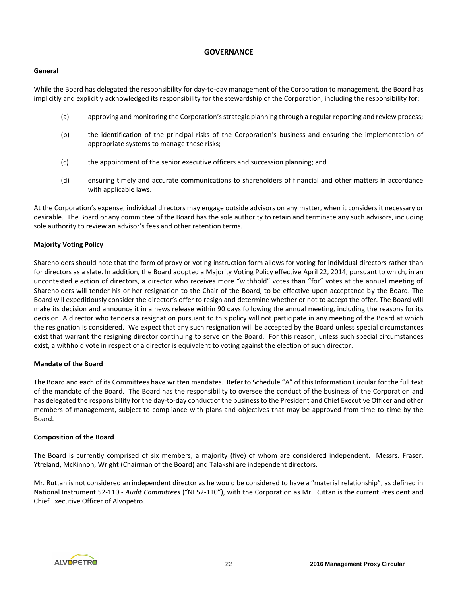# **GOVERNANCE**

# **General**

While the Board has delegated the responsibility for day-to-day management of the Corporation to management, the Board has implicitly and explicitly acknowledged its responsibility for the stewardship of the Corporation, including the responsibility for:

- (a) approving and monitoring the Corporation's strategic planning through a regular reporting and review process;
- (b) the identification of the principal risks of the Corporation's business and ensuring the implementation of appropriate systems to manage these risks;
- (c) the appointment of the senior executive officers and succession planning; and
- (d) ensuring timely and accurate communications to shareholders of financial and other matters in accordance with applicable laws.

At the Corporation's expense, individual directors may engage outside advisors on any matter, when it considers it necessary or desirable. The Board or any committee of the Board has the sole authority to retain and terminate any such advisors, including sole authority to review an advisor's fees and other retention terms.

# **Majority Voting Policy**

Shareholders should note that the form of proxy or voting instruction form allows for voting for individual directors rather than for directors as a slate. In addition, the Board adopted a Majority Voting Policy effective April 22, 2014, pursuant to which, in an uncontested election of directors, a director who receives more "withhold" votes than "for" votes at the annual meeting of Shareholders will tender his or her resignation to the Chair of the Board, to be effective upon acceptance by the Board. The Board will expeditiously consider the director's offer to resign and determine whether or not to accept the offer. The Board will make its decision and announce it in a news release within 90 days following the annual meeting, including the reasons for its decision. A director who tenders a resignation pursuant to this policy will not participate in any meeting of the Board at which the resignation is considered. We expect that any such resignation will be accepted by the Board unless special circumstances exist that warrant the resigning director continuing to serve on the Board. For this reason, unless such special circumstances exist, a withhold vote in respect of a director is equivalent to voting against the election of such director.

# **Mandate of the Board**

The Board and each of its Committees have written mandates. Refer to Schedule "A" of this Information Circular for the full text of the mandate of the Board. The Board has the responsibility to oversee the conduct of the business of the Corporation and has delegated the responsibility for the day-to-day conduct of the business to the President and Chief Executive Officer and other members of management, subject to compliance with plans and objectives that may be approved from time to time by the Board.

# **Composition of the Board**

The Board is currently comprised of six members, a majority (five) of whom are considered independent. Messrs. Fraser, Ytreland, McKinnon, Wright (Chairman of the Board) and Talakshi are independent directors.

Mr. Ruttan is not considered an independent director as he would be considered to have a "material relationship", as defined in National Instrument 52-110 - *Audit Committees* ("NI 52-110"), with the Corporation as Mr. Ruttan is the current President and Chief Executive Officer of Alvopetro.

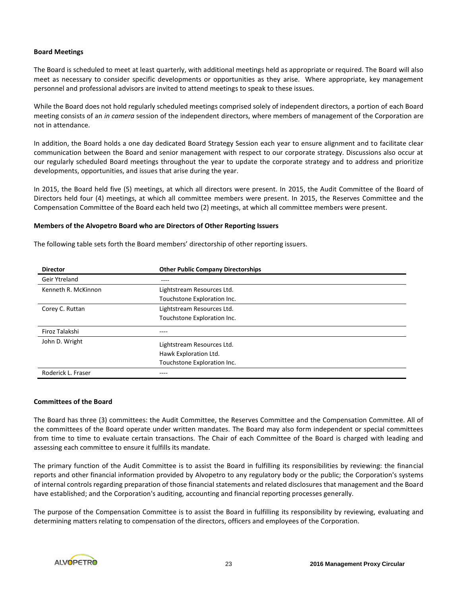# **Board Meetings**

The Board is scheduled to meet at least quarterly, with additional meetings held as appropriate or required. The Board will also meet as necessary to consider specific developments or opportunities as they arise. Where appropriate, key management personnel and professional advisors are invited to attend meetings to speak to these issues.

While the Board does not hold regularly scheduled meetings comprised solely of independent directors, a portion of each Board meeting consists of an *in camera* session of the independent directors, where members of management of the Corporation are not in attendance.

In addition, the Board holds a one day dedicated Board Strategy Session each year to ensure alignment and to facilitate clear communication between the Board and senior management with respect to our corporate strategy. Discussions also occur at our regularly scheduled Board meetings throughout the year to update the corporate strategy and to address and prioritize developments, opportunities, and issues that arise during the year.

In 2015, the Board held five (5) meetings, at which all directors were present. In 2015, the Audit Committee of the Board of Directors held four (4) meetings, at which all committee members were present. In 2015, the Reserves Committee and the Compensation Committee of the Board each held two (2) meetings, at which all committee members were present.

#### **Members of the Alvopetro Board who are Directors of Other Reporting Issuers**

The following table sets forth the Board members' directorship of other reporting issuers.

| <b>Director</b>     | <b>Other Public Company Directorships</b> |
|---------------------|-------------------------------------------|
| Geir Ytreland       | ----                                      |
| Kenneth R. McKinnon | Lightstream Resources Ltd.                |
|                     | Touchstone Exploration Inc.               |
| Corey C. Ruttan     | Lightstream Resources Ltd.                |
|                     | Touchstone Exploration Inc.               |
| Firoz Talakshi      |                                           |
| John D. Wright      | Lightstream Resources Ltd.                |
|                     | Hawk Exploration Ltd.                     |
|                     | Touchstone Exploration Inc.               |
| Roderick L. Fraser  |                                           |

#### **Committees of the Board**

The Board has three (3) committees: the Audit Committee, the Reserves Committee and the Compensation Committee. All of the committees of the Board operate under written mandates. The Board may also form independent or special committees from time to time to evaluate certain transactions. The Chair of each Committee of the Board is charged with leading and assessing each committee to ensure it fulfills its mandate.

The primary function of the Audit Committee is to assist the Board in fulfilling its responsibilities by reviewing: the financial reports and other financial information provided by Alvopetro to any regulatory body or the public; the Corporation's systems of internal controls regarding preparation of those financial statements and related disclosures that management and the Board have established; and the Corporation's auditing, accounting and financial reporting processes generally.

The purpose of the Compensation Committee is to assist the Board in fulfilling its responsibility by reviewing, evaluating and determining matters relating to compensation of the directors, officers and employees of the Corporation.

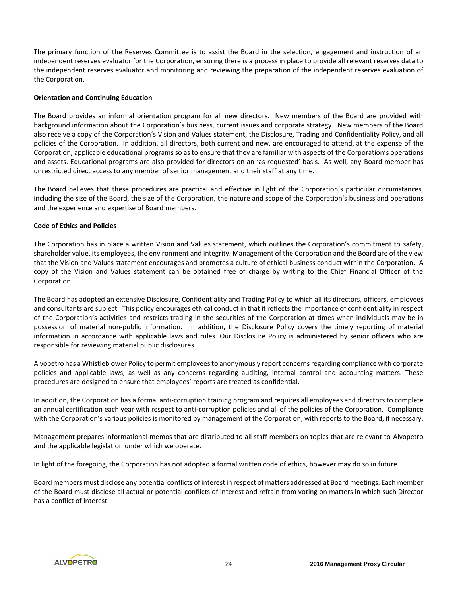The primary function of the Reserves Committee is to assist the Board in the selection, engagement and instruction of an independent reserves evaluator for the Corporation, ensuring there is a process in place to provide all relevant reserves data to the independent reserves evaluator and monitoring and reviewing the preparation of the independent reserves evaluation of the Corporation.

# **Orientation and Continuing Education**

The Board provides an informal orientation program for all new directors. New members of the Board are provided with background information about the Corporation's business, current issues and corporate strategy. New members of the Board also receive a copy of the Corporation's Vision and Values statement, the Disclosure, Trading and Confidentiality Policy, and all policies of the Corporation. In addition, all directors, both current and new, are encouraged to attend, at the expense of the Corporation, applicable educational programs so as to ensure that they are familiar with aspects of the Corporation's operations and assets. Educational programs are also provided for directors on an 'as requested' basis. As well, any Board member has unrestricted direct access to any member of senior management and their staff at any time.

The Board believes that these procedures are practical and effective in light of the Corporation's particular circumstances, including the size of the Board, the size of the Corporation, the nature and scope of the Corporation's business and operations and the experience and expertise of Board members.

# **Code of Ethics and Policies**

The Corporation has in place a written Vision and Values statement, which outlines the Corporation's commitment to safety, shareholder value, its employees, the environment and integrity. Management of the Corporation and the Board are of the view that the Vision and Values statement encourages and promotes a culture of ethical business conduct within the Corporation. A copy of the Vision and Values statement can be obtained free of charge by writing to the Chief Financial Officer of the Corporation.

The Board has adopted an extensive Disclosure, Confidentiality and Trading Policy to which all its directors, officers, employees and consultants are subject. This policy encourages ethical conduct in that it reflects the importance of confidentiality in respect of the Corporation's activities and restricts trading in the securities of the Corporation at times when individuals may be in possession of material non-public information. In addition, the Disclosure Policy covers the timely reporting of material information in accordance with applicable laws and rules. Our Disclosure Policy is administered by senior officers who are responsible for reviewing material public disclosures.

Alvopetro has a Whistleblower Policy to permit employees to anonymously report concerns regarding compliance with corporate policies and applicable laws, as well as any concerns regarding auditing, internal control and accounting matters. These procedures are designed to ensure that employees' reports are treated as confidential.

In addition, the Corporation has a formal anti-corruption training program and requires all employees and directors to complete an annual certification each year with respect to anti-corruption policies and all of the policies of the Corporation. Compliance with the Corporation's various policies is monitored by management of the Corporation, with reports to the Board, if necessary.

Management prepares informational memos that are distributed to all staff members on topics that are relevant to Alvopetro and the applicable legislation under which we operate.

In light of the foregoing, the Corporation has not adopted a formal written code of ethics, however may do so in future.

Board members must disclose any potential conflicts of interest in respect of matters addressed at Board meetings. Each member of the Board must disclose all actual or potential conflicts of interest and refrain from voting on matters in which such Director has a conflict of interest.

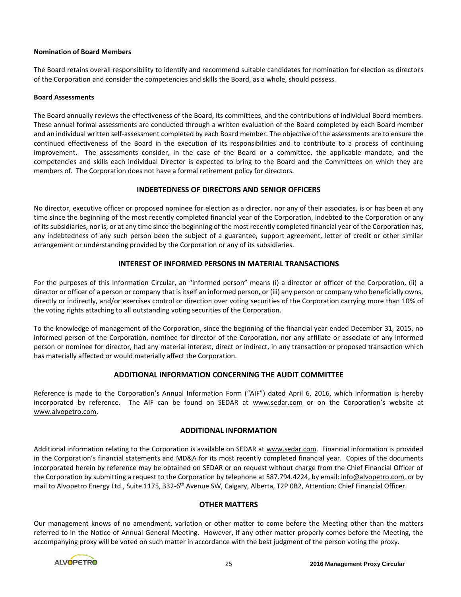# **Nomination of Board Members**

The Board retains overall responsibility to identify and recommend suitable candidates for nomination for election as directors of the Corporation and consider the competencies and skills the Board, as a whole, should possess.

# **Board Assessments**

The Board annually reviews the effectiveness of the Board, its committees, and the contributions of individual Board members. These annual formal assessments are conducted through a written evaluation of the Board completed by each Board member and an individual written self-assessment completed by each Board member. The objective of the assessments are to ensure the continued effectiveness of the Board in the execution of its responsibilities and to contribute to a process of continuing improvement. The assessments consider, in the case of the Board or a committee, the applicable mandate, and the competencies and skills each individual Director is expected to bring to the Board and the Committees on which they are members of. The Corporation does not have a formal retirement policy for directors.

# **INDEBTEDNESS OF DIRECTORS AND SENIOR OFFICERS**

No director, executive officer or proposed nominee for election as a director, nor any of their associates, is or has been at any time since the beginning of the most recently completed financial year of the Corporation, indebted to the Corporation or any of its subsidiaries, nor is, or at any time since the beginning of the most recently completed financial year of the Corporation has, any indebtedness of any such person been the subject of a guarantee, support agreement, letter of credit or other similar arrangement or understanding provided by the Corporation or any of its subsidiaries.

# **INTEREST OF INFORMED PERSONS IN MATERIAL TRANSACTIONS**

For the purposes of this Information Circular, an "informed person" means (i) a director or officer of the Corporation, (ii) a director or officer of a person or company that is itself an informed person, or (iii) any person or company who beneficially owns, directly or indirectly, and/or exercises control or direction over voting securities of the Corporation carrying more than 10% of the voting rights attaching to all outstanding voting securities of the Corporation.

To the knowledge of management of the Corporation, since the beginning of the financial year ended December 31, 2015, no informed person of the Corporation, nominee for director of the Corporation, nor any affiliate or associate of any informed person or nominee for director, had any material interest, direct or indirect, in any transaction or proposed transaction which has materially affected or would materially affect the Corporation.

# **ADDITIONAL INFORMATION CONCERNING THE AUDIT COMMITTEE**

Reference is made to the Corporation's Annual Information Form ("AIF") dated April 6, 2016, which information is hereby incorporated by reference. The AIF can be found on SEDAR at www.sedar.com or on the Corporation's website at www.alvopetro.com.

# **ADDITIONAL INFORMATION**

Additional information relating to the Corporation is available on SEDAR at www.sedar.com. Financial information is provided in the Corporation's financial statements and MD&A for its most recently completed financial year. Copies of the documents incorporated herein by reference may be obtained on SEDAR or on request without charge from the Chief Financial Officer of the Corporation by submitting a request to the Corporation by telephone at 587.794.4224, by email: *info@alvopetro.com*, or by mail to Alvopetro Energy Ltd., Suite 1175, 332-6<sup>th</sup> Avenue SW, Calgary, Alberta, T2P 0B2, Attention: Chief Financial Officer.

# **OTHER MATTERS**

Our management knows of no amendment, variation or other matter to come before the Meeting other than the matters referred to in the Notice of Annual General Meeting. However, if any other matter properly comes before the Meeting, the accompanying proxy will be voted on such matter in accordance with the best judgment of the person voting the proxy.

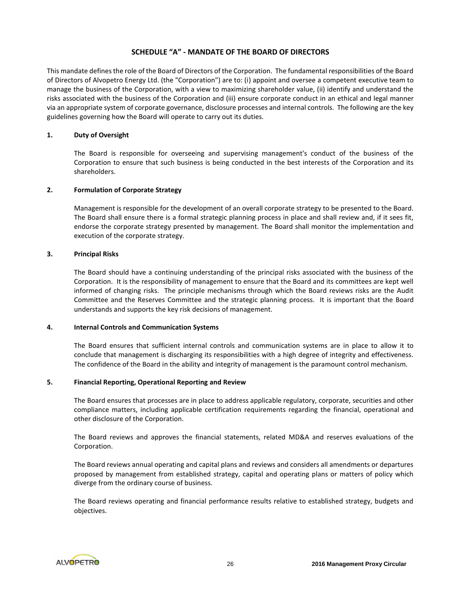# **SCHEDULE "A" - MANDATE OF THE BOARD OF DIRECTORS**

This mandate defines the role of the Board of Directors of the Corporation. The fundamental responsibilities of the Board of Directors of Alvopetro Energy Ltd. (the "Corporation") are to: (i) appoint and oversee a competent executive team to manage the business of the Corporation, with a view to maximizing shareholder value, (ii) identify and understand the risks associated with the business of the Corporation and (iii) ensure corporate conduct in an ethical and legal manner via an appropriate system of corporate governance, disclosure processes and internal controls. The following are the key guidelines governing how the Board will operate to carry out its duties.

# **1. Duty of Oversight**

The Board is responsible for overseeing and supervising management's conduct of the business of the Corporation to ensure that such business is being conducted in the best interests of the Corporation and its shareholders.

# **2. Formulation of Corporate Strategy**

Management is responsible for the development of an overall corporate strategy to be presented to the Board. The Board shall ensure there is a formal strategic planning process in place and shall review and, if it sees fit, endorse the corporate strategy presented by management. The Board shall monitor the implementation and execution of the corporate strategy.

# **3. Principal Risks**

The Board should have a continuing understanding of the principal risks associated with the business of the Corporation. It is the responsibility of management to ensure that the Board and its committees are kept well informed of changing risks. The principle mechanisms through which the Board reviews risks are the Audit Committee and the Reserves Committee and the strategic planning process. It is important that the Board understands and supports the key risk decisions of management.

#### **4. Internal Controls and Communication Systems**

The Board ensures that sufficient internal controls and communication systems are in place to allow it to conclude that management is discharging its responsibilities with a high degree of integrity and effectiveness. The confidence of the Board in the ability and integrity of management is the paramount control mechanism.

#### **5. Financial Reporting, Operational Reporting and Review**

The Board ensures that processes are in place to address applicable regulatory, corporate, securities and other compliance matters, including applicable certification requirements regarding the financial, operational and other disclosure of the Corporation.

The Board reviews and approves the financial statements, related MD&A and reserves evaluations of the Corporation.

The Board reviews annual operating and capital plans and reviews and considers all amendments or departures proposed by management from established strategy, capital and operating plans or matters of policy which diverge from the ordinary course of business.

The Board reviews operating and financial performance results relative to established strategy, budgets and objectives.

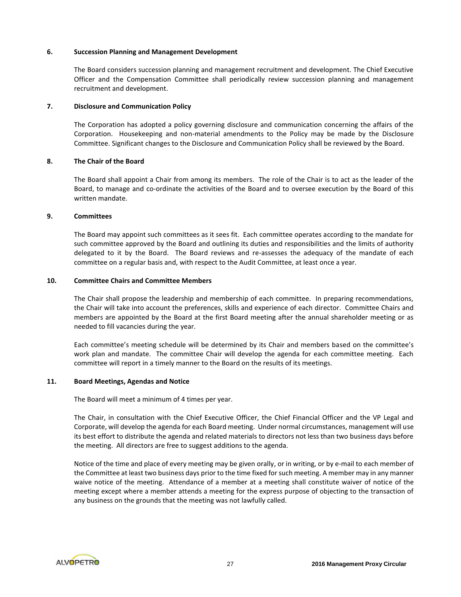#### **6. Succession Planning and Management Development**

The Board considers succession planning and management recruitment and development. The Chief Executive Officer and the Compensation Committee shall periodically review succession planning and management recruitment and development.

# **7. Disclosure and Communication Policy**

The Corporation has adopted a policy governing disclosure and communication concerning the affairs of the Corporation. Housekeeping and non-material amendments to the Policy may be made by the Disclosure Committee. Significant changes to the Disclosure and Communication Policy shall be reviewed by the Board.

# **8. The Chair of the Board**

The Board shall appoint a Chair from among its members. The role of the Chair is to act as the leader of the Board, to manage and co-ordinate the activities of the Board and to oversee execution by the Board of this written mandate.

# **9. Committees**

The Board may appoint such committees as it sees fit. Each committee operates according to the mandate for such committee approved by the Board and outlining its duties and responsibilities and the limits of authority delegated to it by the Board. The Board reviews and re-assesses the adequacy of the mandate of each committee on a regular basis and, with respect to the Audit Committee, at least once a year.

# **10. Committee Chairs and Committee Members**

The Chair shall propose the leadership and membership of each committee. In preparing recommendations, the Chair will take into account the preferences, skills and experience of each director. Committee Chairs and members are appointed by the Board at the first Board meeting after the annual shareholder meeting or as needed to fill vacancies during the year.

Each committee's meeting schedule will be determined by its Chair and members based on the committee's work plan and mandate. The committee Chair will develop the agenda for each committee meeting. Each committee will report in a timely manner to the Board on the results of its meetings.

# **11. Board Meetings, Agendas and Notice**

The Board will meet a minimum of 4 times per year.

The Chair, in consultation with the Chief Executive Officer, the Chief Financial Officer and the VP Legal and Corporate, will develop the agenda for each Board meeting. Under normal circumstances, management will use its best effort to distribute the agenda and related materials to directors not less than two business days before the meeting. All directors are free to suggest additions to the agenda.

Notice of the time and place of every meeting may be given orally, or in writing, or by e-mail to each member of the Committee at least two business days prior to the time fixed for such meeting. A member may in any manner waive notice of the meeting. Attendance of a member at a meeting shall constitute waiver of notice of the meeting except where a member attends a meeting for the express purpose of objecting to the transaction of any business on the grounds that the meeting was not lawfully called.

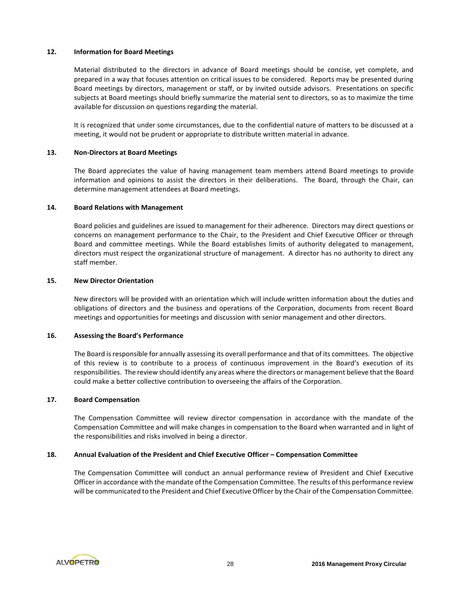# **12. Information for Board Meetings**

Material distributed to the directors in advance of Board meetings should be concise, yet complete, and prepared in a way that focuses attention on critical issues to be considered. Reports may be presented during Board meetings by directors, management or staff, or by invited outside advisors. Presentations on specific subjects at Board meetings should briefly summarize the material sent to directors, so as to maximize the time available for discussion on questions regarding the material.

It is recognized that under some circumstances, due to the confidential nature of matters to be discussed at a meeting, it would not be prudent or appropriate to distribute written material in advance.

#### **13. Non-Directors at Board Meetings**

The Board appreciates the value of having management team members attend Board meetings to provide information and opinions to assist the directors in their deliberations. The Board, through the Chair, can determine management attendees at Board meetings.

# **14. Board Relations with Management**

Board policies and guidelines are issued to management for their adherence. Directors may direct questions or concerns on management performance to the Chair, to the President and Chief Executive Officer or through Board and committee meetings. While the Board establishes limits of authority delegated to management, directors must respect the organizational structure of management. A director has no authority to direct any staff member.

#### **15. New Director Orientation**

New directors will be provided with an orientation which will include written information about the duties and obligations of directors and the business and operations of the Corporation, documents from recent Board meetings and opportunities for meetings and discussion with senior management and other directors.

# **16. Assessing the Board's Performance**

The Board is responsible for annually assessing its overall performance and that of its committees. The objective of this review is to contribute to a process of continuous improvement in the Board's execution of its responsibilities. The review should identify any areas where the directors or management believe that the Board could make a better collective contribution to overseeing the affairs of the Corporation.

#### **17. Board Compensation**

The Compensation Committee will review director compensation in accordance with the mandate of the Compensation Committee and will make changes in compensation to the Board when warranted and in light of the responsibilities and risks involved in being a director.

# **18. Annual Evaluation of the President and Chief Executive Officer – Compensation Committee**

The Compensation Committee will conduct an annual performance review of President and Chief Executive Officer in accordance with the mandate of the Compensation Committee. The results of this performance review will be communicated to the President and Chief Executive Officer by the Chair of the Compensation Committee.

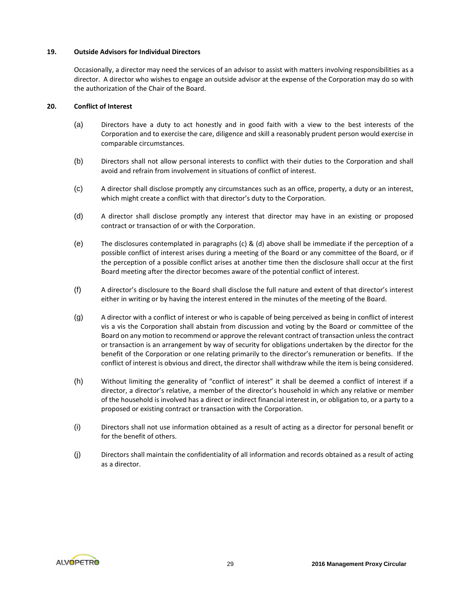# **19. Outside Advisors for Individual Directors**

Occasionally, a director may need the services of an advisor to assist with matters involving responsibilities as a director. A director who wishes to engage an outside advisor at the expense of the Corporation may do so with the authorization of the Chair of the Board.

# **20. Conflict of Interest**

- (a) Directors have a duty to act honestly and in good faith with a view to the best interests of the Corporation and to exercise the care, diligence and skill a reasonably prudent person would exercise in comparable circumstances.
- (b) Directors shall not allow personal interests to conflict with their duties to the Corporation and shall avoid and refrain from involvement in situations of conflict of interest.
- (c) A director shall disclose promptly any circumstances such as an office, property, a duty or an interest, which might create a conflict with that director's duty to the Corporation.
- (d) A director shall disclose promptly any interest that director may have in an existing or proposed contract or transaction of or with the Corporation.
- (e) The disclosures contemplated in paragraphs (c) & (d) above shall be immediate if the perception of a possible conflict of interest arises during a meeting of the Board or any committee of the Board, or if the perception of a possible conflict arises at another time then the disclosure shall occur at the first Board meeting after the director becomes aware of the potential conflict of interest.
- (f) A director's disclosure to the Board shall disclose the full nature and extent of that director's interest either in writing or by having the interest entered in the minutes of the meeting of the Board.
- (g) A director with a conflict of interest or who is capable of being perceived as being in conflict of interest vis a vis the Corporation shall abstain from discussion and voting by the Board or committee of the Board on any motion to recommend or approve the relevant contract of transaction unless the contract or transaction is an arrangement by way of security for obligations undertaken by the director for the benefit of the Corporation or one relating primarily to the director's remuneration or benefits. If the conflict of interest is obvious and direct, the director shall withdraw while the item is being considered.
- (h) Without limiting the generality of "conflict of interest" it shall be deemed a conflict of interest if a director, a director's relative, a member of the director's household in which any relative or member of the household is involved has a direct or indirect financial interest in, or obligation to, or a party to a proposed or existing contract or transaction with the Corporation.
- (i) Directors shall not use information obtained as a result of acting as a director for personal benefit or for the benefit of others.
- (j) Directors shall maintain the confidentiality of all information and records obtained as a result of acting as a director.